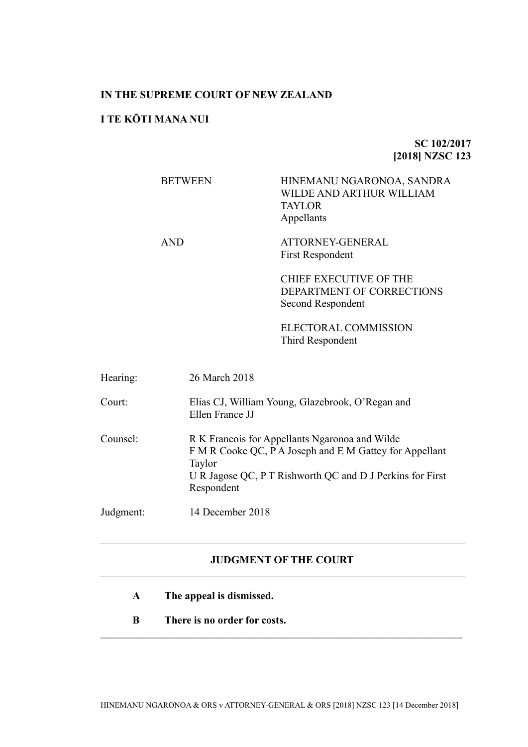# **IN THE SUPREME COURT OF NEW ZEALAND**

# **I TE KŌTI MANA NUI**

# **SC 102/2017 [2018] NZSC 123**

|          | <b>BETWEEN</b>       | HINEMANU NGARONOA, SANDRA<br>WILDE AND ARTHUR WILLIAM<br><b>TAYLOR</b><br>Appellants                                                                                   |  |
|----------|----------------------|------------------------------------------------------------------------------------------------------------------------------------------------------------------------|--|
|          | <b>AND</b>           | ATTORNEY-GENERAL<br><b>First Respondent</b>                                                                                                                            |  |
|          |                      | <b>CHIEF EXECUTIVE OF THE</b><br>DEPARTMENT OF CORRECTIONS<br>Second Respondent                                                                                        |  |
|          |                      | ELECTORAL COMMISSION<br>Third Respondent                                                                                                                               |  |
| Hearing: | 26 March 2018        |                                                                                                                                                                        |  |
| Court:   | Ellen France JJ      | Elias CJ, William Young, Glazebrook, O'Regan and                                                                                                                       |  |
| Counsel: | Taylor<br>Respondent | R K Francois for Appellants Ngaronoa and Wilde<br>F M R Cooke QC, P A Joseph and E M Gattey for Appellant<br>U R Jagose QC, P T Rishworth QC and D J Perkins for First |  |

Judgment: 14 December 2018

# **JUDGMENT OF THE COURT**

- **A The appeal is dismissed.**
- **B There is no order for costs.**

 $\mathcal{L}_\text{max}$  , and the contribution of the contribution of the contribution of the contribution of the contribution of the contribution of the contribution of the contribution of the contribution of the contribution of t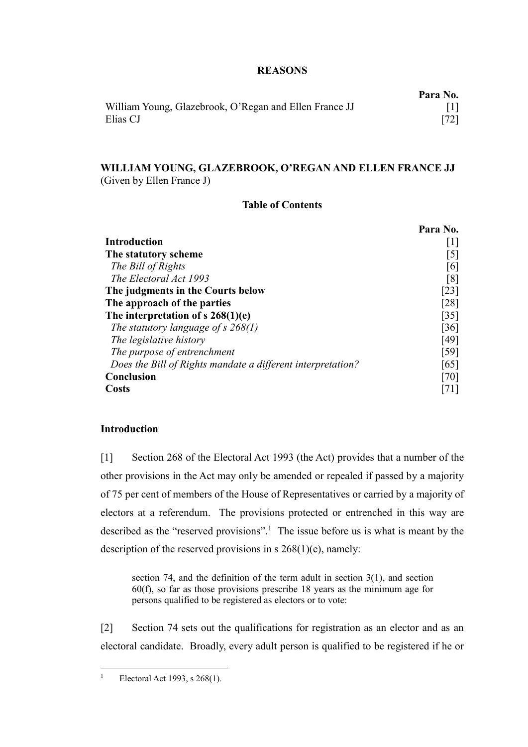# **REASONS**

|                                                        | Para No. |
|--------------------------------------------------------|----------|
| William Young, Glazebrook, O'Regan and Ellen France JJ |          |
| Elias CJ                                               | $[72]$   |

# **WILLIAM YOUNG, GLAZEBROOK, O'REGAN AND ELLEN FRANCE JJ** (Given by Ellen France J)

## **Table of Contents**

|                                                             | Para No. |
|-------------------------------------------------------------|----------|
| Introduction                                                | $\perp$  |
| The statutory scheme                                        | [5]      |
| The Bill of Rights                                          | [6]      |
| The Electoral Act 1993                                      | [8]      |
| The judgments in the Courts below                           | [23]     |
| The approach of the parties                                 | [28]     |
| The interpretation of s $268(1)(e)$                         | [35]     |
| The statutory language of s $268(1)$                        | [36]     |
| The legislative history                                     | [49]     |
| The purpose of entrenchment                                 | [59]     |
| Does the Bill of Rights mandate a different interpretation? | [65]     |
| <b>Conclusion</b>                                           | [70]     |
| Costs                                                       |          |

## **Introduction**

<span id="page-1-0"></span>[1] Section 268 of the Electoral Act 1993 (the Act) provides that a number of the other provisions in the Act may only be amended or repealed if passed by a majority of 75 per cent of members of the House of Representatives or carried by a majority of electors at a referendum. The provisions protected or entrenched in this way are described as the "reserved provisions".<sup>1</sup> The issue before us is what is meant by the description of the reserved provisions in s 268(1)(e), namely:

section 74, and the definition of the term adult in section 3(1), and section 60(f), so far as those provisions prescribe 18 years as the minimum age for persons qualified to be registered as electors or to vote:

<span id="page-1-1"></span>[2] Section 74 sets out the qualifications for registration as an elector and as an electoral candidate. Broadly, every adult person is qualified to be registered if he or

<sup>&</sup>lt;sup>1</sup> Electoral Act 1993, s  $268(1)$ .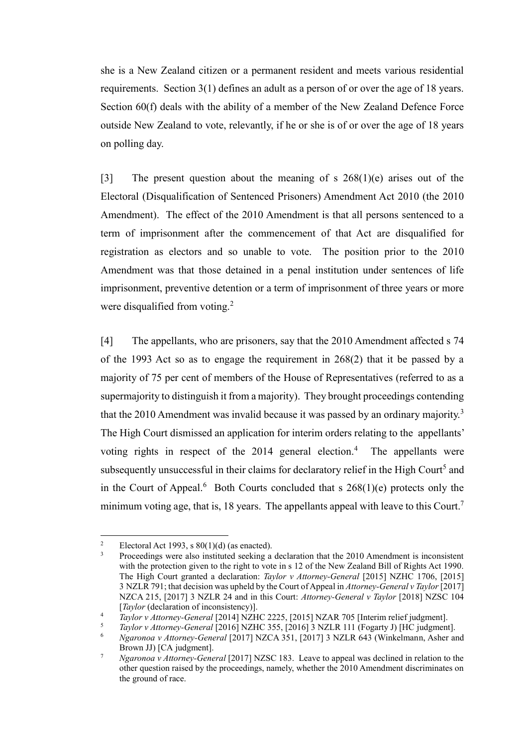she is a New Zealand citizen or a permanent resident and meets various residential requirements. Section 3(1) defines an adult as a person of or over the age of 18 years. Section 60(f) deals with the ability of a member of the New Zealand Defence Force outside New Zealand to vote, relevantly, if he or she is of or over the age of 18 years on polling day.

[3] The present question about the meaning of s  $268(1)(e)$  arises out of the Electoral (Disqualification of Sentenced Prisoners) Amendment Act 2010 (the 2010 Amendment). The effect of the 2010 Amendment is that all persons sentenced to a term of imprisonment after the commencement of that Act are disqualified for registration as electors and so unable to vote. The position prior to the 2010 Amendment was that those detained in a penal institution under sentences of life imprisonment, preventive detention or a term of imprisonment of three years or more were disqualified from voting.<sup>2</sup>

[4] The appellants, who are prisoners, say that the 2010 Amendment affected s 74 of the 1993 Act so as to engage the requirement in 268(2) that it be passed by a majority of 75 per cent of members of the House of Representatives (referred to as a supermajority to distinguish it from a majority). They brought proceedings contending that the 2010 Amendment was invalid because it was passed by an ordinary majority.<sup>3</sup> The High Court dismissed an application for interim orders relating to the appellants' voting rights in respect of the 2014 general election.<sup>4</sup> The appellants were subsequently unsuccessful in their claims for declaratory relief in the High Court<sup>5</sup> and in the Court of Appeal.<sup>6</sup> Both Courts concluded that s  $268(1)(e)$  protects only the minimum voting age, that is, 18 years. The appellants appeal with leave to this Court.<sup>7</sup>

<span id="page-2-2"></span><span id="page-2-1"></span><span id="page-2-0"></span><sup>&</sup>lt;sup>2</sup> Electoral Act 1993, s  $80(1)(d)$  (as enacted).

<sup>3</sup> Proceedings were also instituted seeking a declaration that the 2010 Amendment is inconsistent with the protection given to the right to vote in s 12 of the New Zealand Bill of Rights Act 1990. The High Court granted a declaration: *Taylor v Attorney-General* [2015] NZHC 1706, [2015] 3 NZLR 791; that decision was upheld by the Court of Appeal in *Attorney-General v Taylor* [2017] NZCA 215, [2017] 3 NZLR 24 and in this Court: *Attorney-General v Taylor* [2018] NZSC 104 [*Taylor* (declaration of inconsistency)].

<sup>4</sup> *Taylor v Attorney-General* [2014] NZHC 2225, [2015] NZAR 705 [Interim relief judgment].

<sup>5</sup> *Taylor v Attorney-General* [2016] NZHC 355, [2016] 3 NZLR 111 (Fogarty J) [HC judgment].

<sup>6</sup> *Ngaronoa v Attorney-General* [2017] NZCA 351, [2017] 3 NZLR 643 (Winkelmann, Asher and Brown JJ) [CA judgment].

<sup>7</sup> *Ngaronoa v Attorney-General* [2017] NZSC 183. Leave to appeal was declined in relation to the other question raised by the proceedings, namely, whether the 2010 Amendment discriminates on the ground of race.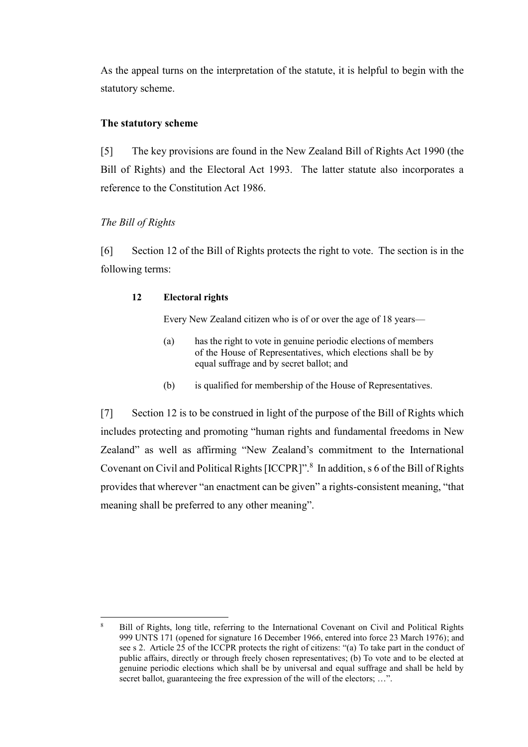As the appeal turns on the interpretation of the statute, it is helpful to begin with the statutory scheme.

## **The statutory scheme**

<span id="page-3-0"></span>[5] The key provisions are found in the New Zealand Bill of Rights Act 1990 (the Bill of Rights) and the Electoral Act 1993. The latter statute also incorporates a reference to the Constitution Act 1986.

# *The Bill of Rights*

 $\overline{a}$ 

<span id="page-3-1"></span>[6] Section 12 of the Bill of Rights protects the right to vote. The section is in the following terms:

## **12 Electoral rights**

Every New Zealand citizen who is of or over the age of 18 years—

- (a) has the right to vote in genuine periodic elections of members of the House of Representatives, which elections shall be by equal suffrage and by secret ballot; and
- (b) is qualified for membership of the House of Representatives.

[7] Section 12 is to be construed in light of the purpose of the Bill of Rights which includes protecting and promoting "human rights and fundamental freedoms in New Zealand" as well as affirming "New Zealand's commitment to the International Covenant on Civil and Political Rights [ICCPR]".<sup>8</sup> In addition, s 6 of the Bill of Rights provides that wherever "an enactment can be given" a rights-consistent meaning, "that meaning shall be preferred to any other meaning".

<sup>8</sup> Bill of Rights, long title, referring to the International Covenant on Civil and Political Rights 999 UNTS 171 (opened for signature 16 December 1966, entered into force 23 March 1976); and see s 2. Article 25 of the ICCPR protects the right of citizens: "(a) To take part in the conduct of public affairs, directly or through freely chosen representatives; (b) To vote and to be elected at genuine periodic elections which shall be by universal and equal suffrage and shall be held by secret ballot, guaranteeing the free expression of the will of the electors; ...".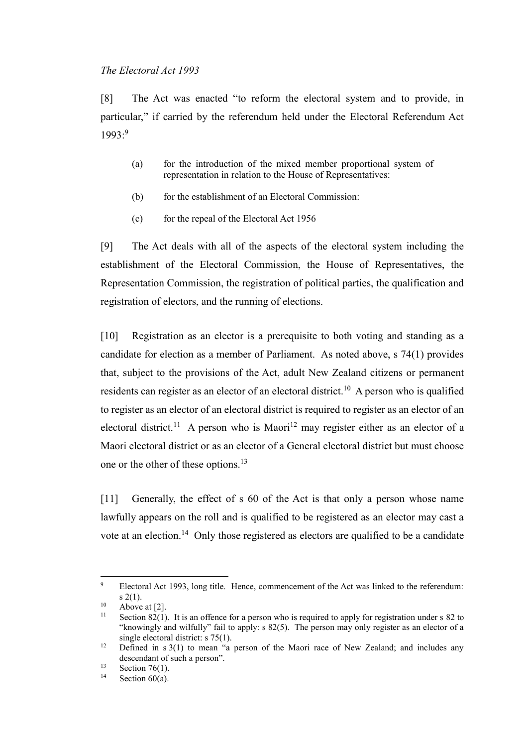### *The Electoral Act 1993*

<span id="page-4-0"></span>[8] The Act was enacted "to reform the electoral system and to provide, in particular," if carried by the referendum held under the Electoral Referendum Act 1993:<sup>9</sup>

- (a) for the introduction of the mixed member proportional system of representation in relation to the House of Representatives:
- (b) for the establishment of an Electoral Commission:
- (c) for the repeal of the Electoral Act 1956

[9] The Act deals with all of the aspects of the electoral system including the establishment of the Electoral Commission, the House of Representatives, the Representation Commission, the registration of political parties, the qualification and registration of electors, and the running of elections.

[10] Registration as an elector is a prerequisite to both voting and standing as a candidate for election as a member of Parliament. As noted above, s 74(1) provides that, subject to the provisions of the Act, adult New Zealand citizens or permanent residents can register as an elector of an electoral district.<sup>10</sup> A person who is qualified to register as an elector of an electoral district is required to register as an elector of an electoral district.<sup>11</sup> A person who is Maori<sup>12</sup> may register either as an elector of a Maori electoral district or as an elector of a General electoral district but must choose one or the other of these options.<sup>13</sup>

[11] Generally, the effect of s 60 of the Act is that only a person whose name lawfully appears on the roll and is qualified to be registered as an elector may cast a vote at an election.<sup>14</sup> Only those registered as electors are qualified to be a candidate

<sup>&</sup>lt;sup>9</sup> Electoral Act 1993, long title. Hence, commencement of the Act was linked to the referendum: s 2(1).

<sup>&</sup>lt;sup>10</sup> Above at [\[2\].](#page-1-1)<br><sup>11</sup> Section 82(1)

Section 82(1). It is an offence for a person who is required to apply for registration under s 82 to "knowingly and wilfully" fail to apply: s 82(5). The person may only register as an elector of a single electoral district: s 75(1).

<sup>&</sup>lt;sup>12</sup> Defined in s 3(1) to mean "a person of the Maori race of New Zealand; and includes any descendant of such a person".

<sup>&</sup>lt;sup>13</sup> Section 76(1).

Section  $60(a)$ .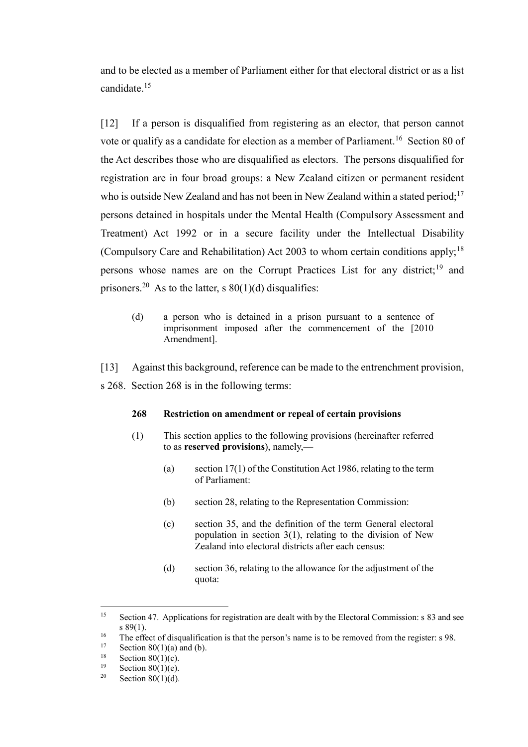and to be elected as a member of Parliament either for that electoral district or as a list candidate.<sup>15</sup>

[12] If a person is disqualified from registering as an elector, that person cannot vote or qualify as a candidate for election as a member of Parliament.<sup>16</sup> Section 80 of the Act describes those who are disqualified as electors. The persons disqualified for registration are in four broad groups: a New Zealand citizen or permanent resident who is outside New Zealand and has not been in New Zealand within a stated period;<sup>17</sup> persons detained in hospitals under the Mental Health (Compulsory Assessment and Treatment) Act 1992 or in a secure facility under the Intellectual Disability (Compulsory Care and Rehabilitation) Act 2003 to whom certain conditions apply;<sup>18</sup> persons whose names are on the Corrupt Practices List for any district;<sup>19</sup> and prisoners.<sup>20</sup> As to the latter, s  $80(1)(d)$  disqualifies:

- (d) a person who is detained in a prison pursuant to a sentence of imprisonment imposed after the commencement of the [2010 Amendment].
- [13] Against this background, reference can be made to the entrenchment provision,
- s 268. Section 268 is in the following terms:

#### **268 Restriction on amendment or repeal of certain provisions**

- (1) This section applies to the following provisions (hereinafter referred to as **reserved provisions**), namely,—
	- (a) section 17(1) of the Constitution Act 1986, relating to the term of Parliament:
	- (b) section 28, relating to the Representation Commission:
	- (c) section 35, and the definition of the term General electoral population in section 3(1), relating to the division of New Zealand into electoral districts after each census:
	- (d) section 36, relating to the allowance for the adjustment of the quota:

<sup>&</sup>lt;sup>15</sup> Section 47. Applications for registration are dealt with by the Electoral Commission: s 83 and see s 89(1).

<sup>&</sup>lt;sup>16</sup> The effect of disqualification is that the person's name is to be removed from the register: s 98.<br><sup>17</sup> Section 80(1)(e) and (b)

<sup>&</sup>lt;sup>17</sup> Section 80(1)(a) and (b).<br><sup>18</sup> Section 80(1)(a)

<sup>&</sup>lt;sup>18</sup> Section 80(1)(c).

<sup>&</sup>lt;sup>19</sup> Section 80(1)(e).<br><sup>20</sup> Section 80(1)(d)

Section  $80(1)(d)$ .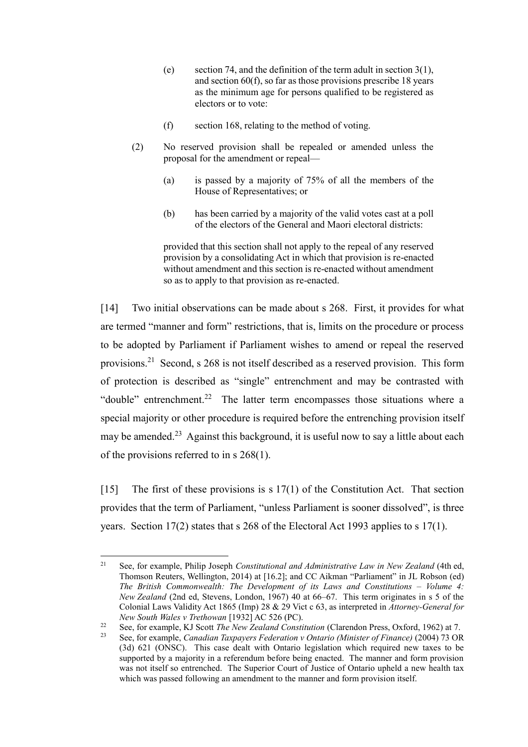- (e) section 74, and the definition of the term adult in section 3(1), and section 60(f), so far as those provisions prescribe 18 years as the minimum age for persons qualified to be registered as electors or to vote:
- (f) section 168, relating to the method of voting.
- (2) No reserved provision shall be repealed or amended unless the proposal for the amendment or repeal—
	- (a) is passed by a majority of 75% of all the members of the House of Representatives; or
	- (b) has been carried by a majority of the valid votes cast at a poll of the electors of the General and Maori electoral districts:

provided that this section shall not apply to the repeal of any reserved provision by a consolidating Act in which that provision is re-enacted without amendment and this section is re-enacted without amendment so as to apply to that provision as re-enacted.

<span id="page-6-1"></span>[14] Two initial observations can be made about s 268. First, it provides for what are termed "manner and form" restrictions, that is, limits on the procedure or process to be adopted by Parliament if Parliament wishes to amend or repeal the reserved provisions.<sup>21</sup> Second, s 268 is not itself described as a reserved provision. This form of protection is described as "single" entrenchment and may be contrasted with "double" entrenchment.<sup>22</sup> The latter term encompasses those situations where a special majority or other procedure is required before the entrenching provision itself may be amended.<sup>23</sup> Against this background, it is useful now to say a little about each of the provisions referred to in s 268(1).

<span id="page-6-0"></span>[15] The first of these provisions is s 17(1) of the Constitution Act. That section provides that the term of Parliament, "unless Parliament is sooner dissolved", is three years. Section 17(2) states that s 268 of the Electoral Act 1993 applies to s 17(1).

<sup>21</sup> See, for example, Philip Joseph *Constitutional and Administrative Law in New Zealand* (4th ed, Thomson Reuters, Wellington, 2014) at [16.2]; and CC Aikman "Parliament" in JL Robson (ed) *The British Commonwealth: The Development of its Laws and Constitutions – Volume 4: New Zealand* (2nd ed, Stevens, London, 1967) 40 at 66–67. This term originates in s 5 of the Colonial Laws Validity Act 1865 (Imp) 28 & 29 Vict c 63, as interpreted in *Attorney-General for New South Wales v Trethowan* [1932] AC 526 (PC).

<sup>22</sup> See, for example, KJ Scott *The New Zealand Constitution* (Clarendon Press, Oxford, 1962) at 7.

<sup>23</sup> See, for example, *Canadian Taxpayers Federation v Ontario (Minister of Finance)* (2004) 73 OR (3d) 621 (ONSC). This case dealt with Ontario legislation which required new taxes to be supported by a majority in a referendum before being enacted. The manner and form provision was not itself so entrenched. The Superior Court of Justice of Ontario upheld a new health tax which was passed following an amendment to the manner and form provision itself.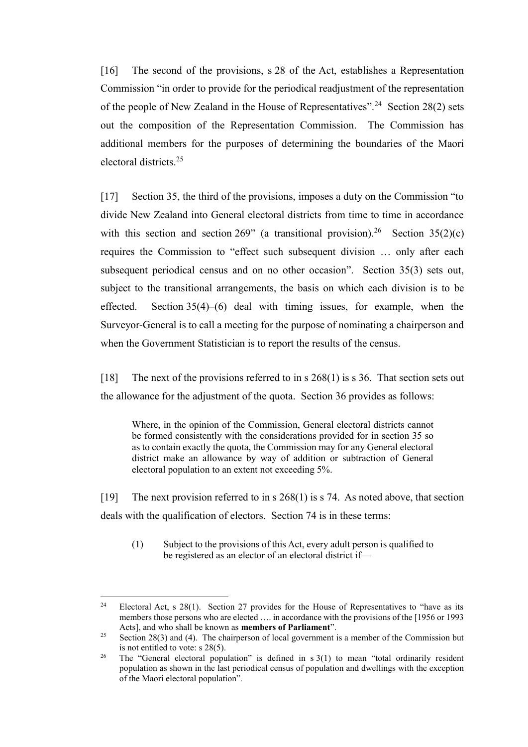[16] The second of the provisions, s 28 of the Act, establishes a Representation Commission "in order to provide for the periodical readjustment of the representation of the people of New Zealand in the House of Representatives".<sup>24</sup> Section 28(2) sets out the composition of the Representation Commission. The Commission has additional members for the purposes of determining the boundaries of the Maori electoral districts.<sup>25</sup>

[17] Section 35, the third of the provisions, imposes a duty on the Commission "to divide New Zealand into General electoral districts from time to time in accordance with this section and section 269" (a transitional provision).<sup>26</sup> Section 35(2)(c) requires the Commission to "effect such subsequent division … only after each subsequent periodical census and on no other occasion". Section 35(3) sets out, subject to the transitional arrangements, the basis on which each division is to be effected. Section 35(4)–(6) deal with timing issues, for example, when the Surveyor-General is to call a meeting for the purpose of nominating a chairperson and when the Government Statistician is to report the results of the census.

[18] The next of the provisions referred to in s 268(1) is s 36. That section sets out the allowance for the adjustment of the quota. Section 36 provides as follows:

Where, in the opinion of the Commission, General electoral districts cannot be formed consistently with the considerations provided for in section 35 so as to contain exactly the quota, the Commission may for any General electoral district make an allowance by way of addition or subtraction of General electoral population to an extent not exceeding 5%.

[19] The next provision referred to in s 268(1) is s 74. As noted above, that section deals with the qualification of electors. Section 74 is in these terms:

(1) Subject to the provisions of this Act, every adult person is qualified to be registered as an elector of an electoral district if—

 $\overline{a}$ <sup>24</sup> Electoral Act, s 28(1). Section 27 provides for the House of Representatives to "have as its members those persons who are elected …. in accordance with the provisions of the [1956 or 1993 Acts], and who shall be known as **members of Parliament**".

<sup>&</sup>lt;sup>25</sup> Section 28(3) and (4). The chairperson of local government is a member of the Commission but is not entitled to vote: s 28(5).

<sup>&</sup>lt;sup>26</sup> The "General electoral population" is defined in  $s$  3(1) to mean "total ordinarily resident population as shown in the last periodical census of population and dwellings with the exception of the Maori electoral population".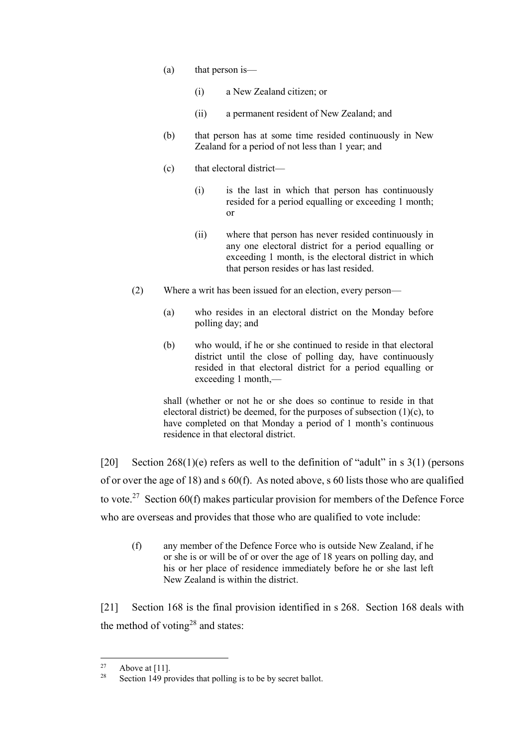- (a) that person is—
	- (i) a New Zealand citizen; or
	- (ii) a permanent resident of New Zealand; and
- (b) that person has at some time resided continuously in New Zealand for a period of not less than 1 year; and
- (c) that electoral district—
	- (i) is the last in which that person has continuously resided for a period equalling or exceeding 1 month; or
	- (ii) where that person has never resided continuously in any one electoral district for a period equalling or exceeding 1 month, is the electoral district in which that person resides or has last resided.
- (2) Where a writ has been issued for an election, every person—
	- (a) who resides in an electoral district on the Monday before polling day; and
	- (b) who would, if he or she continued to reside in that electoral district until the close of polling day, have continuously resided in that electoral district for a period equalling or exceeding 1 month,—

shall (whether or not he or she does so continue to reside in that electoral district) be deemed, for the purposes of subsection  $(1)(c)$ , to have completed on that Monday a period of 1 month's continuous residence in that electoral district.

[20] Section  $268(1)(e)$  refers as well to the definition of "adult" in s 3(1) (persons of or over the age of 18) and s 60(f). As noted above, s 60 lists those who are qualified to vote.<sup>27</sup> Section 60(f) makes particular provision for members of the Defence Force who are overseas and provides that those who are qualified to vote include:

(f) any member of the Defence Force who is outside New Zealand, if he or she is or will be of or over the age of 18 years on polling day, and his or her place of residence immediately before he or she last left New Zealand is within the district.

[21] Section 168 is the final provision identified in s 268. Section 168 deals with the method of voting<sup>28</sup> and states:

 $27$  $\frac{27}{28}$  Above at [11].

Section 149 provides that polling is to be by secret ballot.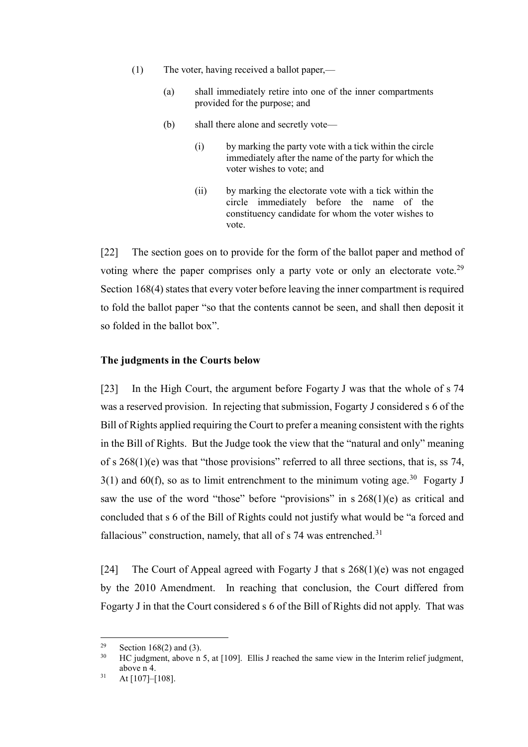- (1) The voter, having received a ballot paper,—
	- (a) shall immediately retire into one of the inner compartments provided for the purpose; and
	- (b) shall there alone and secretly vote—
		- (i) by marking the party vote with a tick within the circle immediately after the name of the party for which the voter wishes to vote; and
		- (ii) by marking the electorate vote with a tick within the circle immediately before the name of the constituency candidate for whom the voter wishes to vote.

[22] The section goes on to provide for the form of the ballot paper and method of voting where the paper comprises only a party vote or only an electorate vote.<sup>29</sup> Section 168(4) states that every voter before leaving the inner compartment is required to fold the ballot paper "so that the contents cannot be seen, and shall then deposit it so folded in the ballot box".

## **The judgments in the Courts below**

<span id="page-9-0"></span>[23] In the High Court, the argument before Fogarty J was that the whole of s 74 was a reserved provision. In rejecting that submission, Fogarty J considered s 6 of the Bill of Rights applied requiring the Court to prefer a meaning consistent with the rights in the Bill of Rights. But the Judge took the view that the "natural and only" meaning of s 268(1)(e) was that "those provisions" referred to all three sections, that is, ss 74,  $3(1)$  and  $60(f)$ , so as to limit entrenchment to the minimum voting age.<sup>30</sup> Fogarty J saw the use of the word "those" before "provisions" in s 268(1)(e) as critical and concluded that s 6 of the Bill of Rights could not justify what would be "a forced and fallacious" construction, namely, that all of  $s$  74 was entrenched.<sup>31</sup>

[24] The Court of Appeal agreed with Fogarty J that s 268(1)(e) was not engaged by the 2010 Amendment. In reaching that conclusion, the Court differed from Fogarty J in that the Court considered s 6 of the Bill of Rights did not apply. That was

<sup>&</sup>lt;sup>29</sup> Section 168(2) and (3).<br><sup>30</sup> HC judgment, above n

HC judgment, above n [5,](#page-2-0) at [109]. Ellis J reached the same view in the Interim relief judgment, above [n 4.](#page-2-1)

 $31$  At [107]–[108].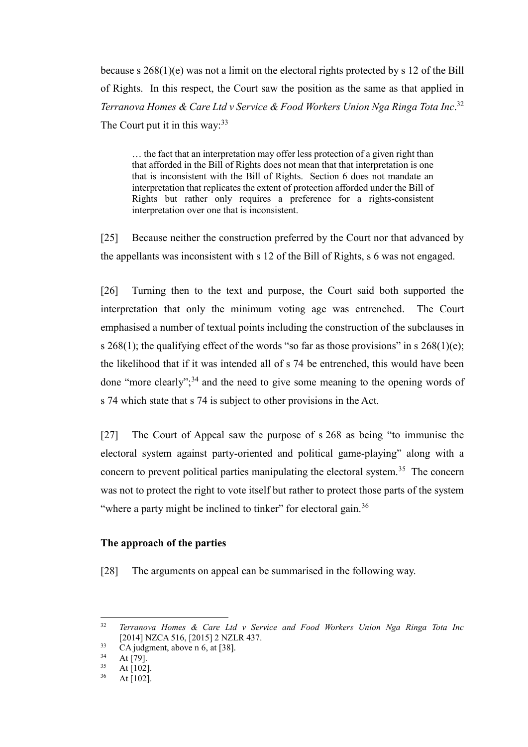because s 268(1)(e) was not a limit on the electoral rights protected by s 12 of the Bill of Rights. In this respect, the Court saw the position as the same as that applied in *Terranova Homes & Care Ltd v Service & Food Workers Union Nga Ringa Tota Inc*. 32 The Court put it in this way:  $33$ 

<span id="page-10-1"></span>… the fact that an interpretation may offer less protection of a given right than that afforded in the Bill of Rights does not mean that that interpretation is one that is inconsistent with the Bill of Rights. Section 6 does not mandate an interpretation that replicates the extent of protection afforded under the Bill of Rights but rather only requires a preference for a rights-consistent interpretation over one that is inconsistent.

[25] Because neither the construction preferred by the Court nor that advanced by the appellants was inconsistent with s 12 of the Bill of Rights, s 6 was not engaged.

[26] Turning then to the text and purpose, the Court said both supported the interpretation that only the minimum voting age was entrenched. The Court emphasised a number of textual points including the construction of the subclauses in s  $268(1)$ ; the qualifying effect of the words "so far as those provisions" in s  $268(1)(e)$ ; the likelihood that if it was intended all of s 74 be entrenched, this would have been done "more clearly";  $34$  and the need to give some meaning to the opening words of s 74 which state that s 74 is subject to other provisions in the Act.

[27] The Court of Appeal saw the purpose of s 268 as being "to immunise the electoral system against party-oriented and political game-playing" along with a concern to prevent political parties manipulating the electoral system.<sup>35</sup> The concern was not to protect the right to vote itself but rather to protect those parts of the system "where a party might be inclined to tinker" for electoral gain.<sup>36</sup>

# **The approach of the parties**

<span id="page-10-0"></span>[28] The arguments on appeal can be summarised in the following way.

 $32$ <sup>32</sup> *Terranova Homes & Care Ltd v Service and Food Workers Union Nga Ringa Tota Inc*  [2014] NZCA 516, [2015] 2 NZLR 437.

 $\frac{33}{34}$  CA judgment, above n [6,](#page-2-2) at [38].

 $34$  At [79].

 $rac{35}{36}$  At [102].

At  $[102]$ .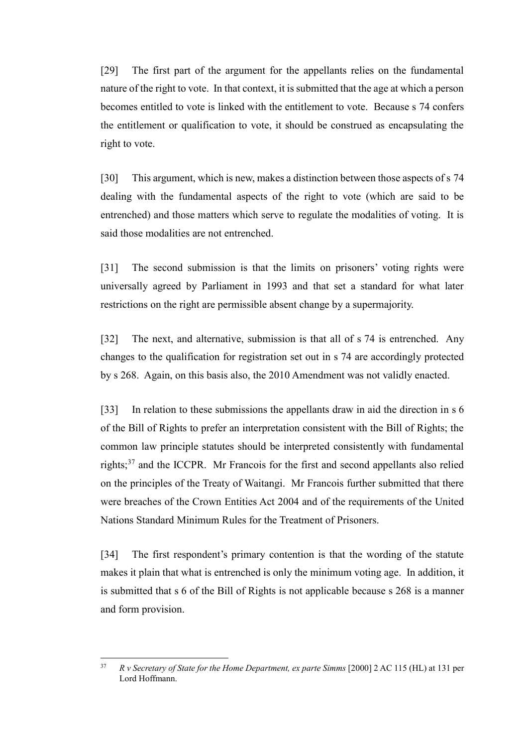[29] The first part of the argument for the appellants relies on the fundamental nature of the right to vote. In that context, it is submitted that the age at which a person becomes entitled to vote is linked with the entitlement to vote. Because s 74 confers the entitlement or qualification to vote, it should be construed as encapsulating the right to vote.

[30] This argument, which is new, makes a distinction between those aspects of s 74 dealing with the fundamental aspects of the right to vote (which are said to be entrenched) and those matters which serve to regulate the modalities of voting. It is said those modalities are not entrenched.

[31] The second submission is that the limits on prisoners' voting rights were universally agreed by Parliament in 1993 and that set a standard for what later restrictions on the right are permissible absent change by a supermajority.

[32] The next, and alternative, submission is that all of s 74 is entrenched. Any changes to the qualification for registration set out in s 74 are accordingly protected by s 268. Again, on this basis also, the 2010 Amendment was not validly enacted.

[33] In relation to these submissions the appellants draw in aid the direction in s 6 of the Bill of Rights to prefer an interpretation consistent with the Bill of Rights; the common law principle statutes should be interpreted consistently with fundamental rights;<sup>37</sup> and the ICCPR. Mr Francois for the first and second appellants also relied on the principles of the Treaty of Waitangi. Mr Francois further submitted that there were breaches of the Crown Entities Act 2004 and of the requirements of the United Nations Standard Minimum Rules for the Treatment of Prisoners.

[34] The first respondent's primary contention is that the wording of the statute makes it plain that what is entrenched is only the minimum voting age. In addition, it is submitted that s 6 of the Bill of Rights is not applicable because s 268 is a manner and form provision.

 $37$ <sup>37</sup> *R v Secretary of State for the Home Department, ex parte Simms* [2000] 2 AC 115 (HL) at 131 per Lord Hoffmann.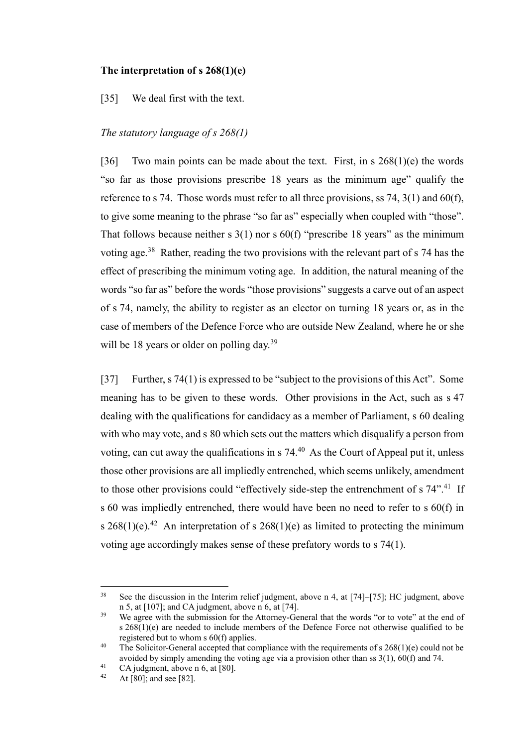### **The interpretation of s 268(1)(e)**

<span id="page-12-0"></span>[35] We deal first with the text.

### *The statutory language of s 268(1)*

<span id="page-12-1"></span>[36] Two main points can be made about the text. First, in s  $268(1)(e)$  the words "so far as those provisions prescribe 18 years as the minimum age" qualify the reference to s 74. Those words must refer to all three provisions, ss 74,  $3(1)$  and  $60(f)$ , to give some meaning to the phrase "so far as" especially when coupled with "those". That follows because neither s  $3(1)$  nor s  $60(f)$  "prescribe 18 years" as the minimum voting age.<sup>38</sup> Rather, reading the two provisions with the relevant part of  $s$  74 has the effect of prescribing the minimum voting age. In addition, the natural meaning of the words "so far as" before the words "those provisions" suggests a carve out of an aspect of s 74, namely, the ability to register as an elector on turning 18 years or, as in the case of members of the Defence Force who are outside New Zealand, where he or she will be 18 years or older on polling day.<sup>39</sup>

<span id="page-12-2"></span>[37] Further, s 74(1) is expressed to be "subject to the provisions of this Act". Some meaning has to be given to these words. Other provisions in the Act, such as s 47 dealing with the qualifications for candidacy as a member of Parliament, s 60 dealing with who may vote, and s 80 which sets out the matters which disqualify a person from voting, can cut away the qualifications in  $s$  74.<sup>40</sup> As the Court of Appeal put it, unless those other provisions are all impliedly entrenched, which seems unlikely, amendment to those other provisions could "effectively side-step the entrenchment of s 74".<sup>41</sup> If s 60 was impliedly entrenched, there would have been no need to refer to s 60(f) in s  $268(1)(e)$ .<sup>42</sup> An interpretation of s  $268(1)(e)$  as limited to protecting the minimum voting age accordingly makes sense of these prefatory words to s 74(1).

<sup>38</sup> See the discussion in the Interim relief judgment, above n [4,](#page-2-1) at [74]–[75]; HC judgment, above n [5,](#page-2-0) at [107]; and CA judgment, above n [6,](#page-2-2) at [74].

<sup>&</sup>lt;sup>39</sup> We agree with the submission for the Attorney-General that the words "or to vote" at the end of s 268(1)(e) are needed to include members of the Defence Force not otherwise qualified to be registered but to whom s 60(f) applies.

<sup>&</sup>lt;sup>40</sup> The Solicitor-General accepted that compliance with the requirements of s  $268(1)(e)$  could not be avoided by simply amending the voting age via a provision other than ss 3(1), 60(f) and 74.

<sup>&</sup>lt;sup>41</sup> CA judgment, above n [6,](#page-2-2) at [80].

At  $\overline{[80]}$ ; and see  $\overline{[82]}$ .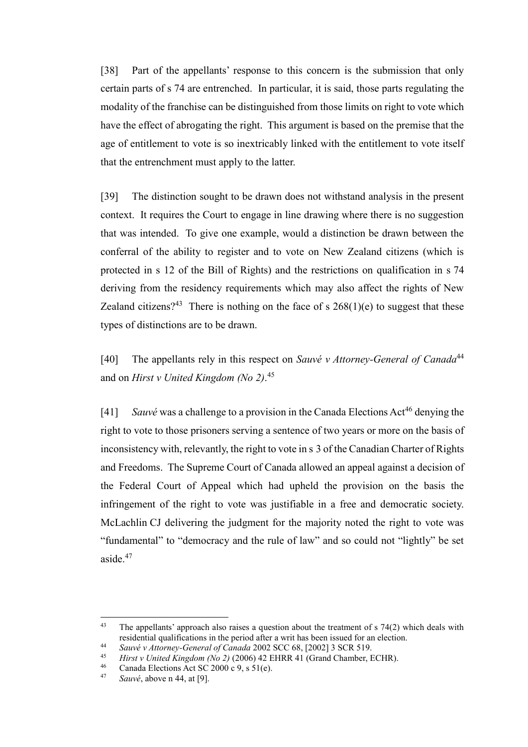[38] Part of the appellants' response to this concern is the submission that only certain parts of s 74 are entrenched. In particular, it is said, those parts regulating the modality of the franchise can be distinguished from those limits on right to vote which have the effect of abrogating the right. This argument is based on the premise that the age of entitlement to vote is so inextricably linked with the entitlement to vote itself that the entrenchment must apply to the latter.

[39] The distinction sought to be drawn does not withstand analysis in the present context. It requires the Court to engage in line drawing where there is no suggestion that was intended. To give one example, would a distinction be drawn between the conferral of the ability to register and to vote on New Zealand citizens (which is protected in s 12 of the Bill of Rights) and the restrictions on qualification in s 74 deriving from the residency requirements which may also affect the rights of New Zealand citizens?<sup>43</sup> There is nothing on the face of s  $268(1)(e)$  to suggest that these types of distinctions are to be drawn.

<span id="page-13-1"></span><span id="page-13-0"></span>[40] The appellants rely in this respect on *Sauvé v Attorney-General of Canada*<sup>44</sup> and on *Hirst v United Kingdom (No 2)*. 45

[41] *Sauvé* was a challenge to a provision in the Canada Elections Act<sup>46</sup> denying the right to vote to those prisoners serving a sentence of two years or more on the basis of inconsistency with, relevantly, the right to vote in s 3 of the Canadian Charter of Rights and Freedoms. The Supreme Court of Canada allowed an appeal against a decision of the Federal Court of Appeal which had upheld the provision on the basis the infringement of the right to vote was justifiable in a free and democratic society. McLachlin CJ delivering the judgment for the majority noted the right to vote was "fundamental" to "democracy and the rule of law" and so could not "lightly" be set aside  $47$ 

 $43$ The appellants' approach also raises a question about the treatment of  $s$  74(2) which deals with residential qualifications in the period after a writ has been issued for an election.

<sup>44</sup> *Sauvé v Attorney-General of Canada* 2002 SCC 68, [2002] 3 SCR 519.

<sup>45</sup> *Hirst v United Kingdom (No 2)* (2006) 42 EHRR 41 (Grand Chamber, ECHR).

<sup>46</sup> Canada Elections Act SC 2000 c 9, s  $\frac{51}{e}$ .

<sup>47</sup> *Sauvé*, above n [44,](#page-13-0) at [9].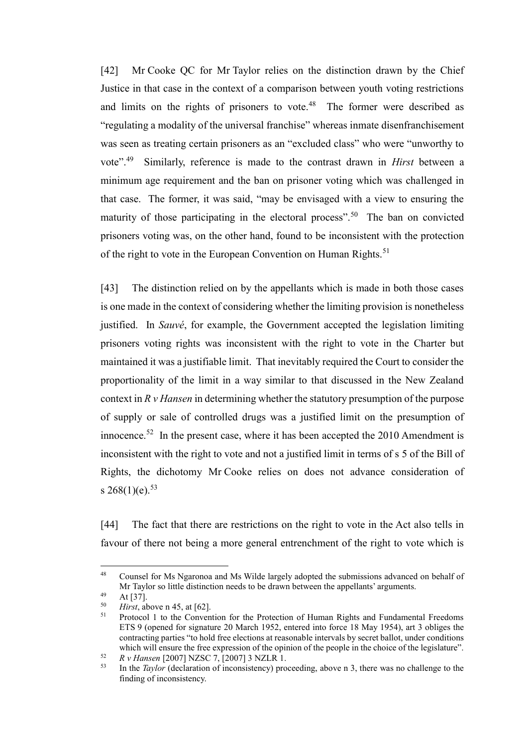[42] Mr Cooke QC for Mr Taylor relies on the distinction drawn by the Chief Justice in that case in the context of a comparison between youth voting restrictions and limits on the rights of prisoners to vote. $48$  The former were described as "regulating a modality of the universal franchise" whereas inmate disenfranchisement was seen as treating certain prisoners as an "excluded class" who were "unworthy to vote".<sup>49</sup> Similarly, reference is made to the contrast drawn in *Hirst* between a minimum age requirement and the ban on prisoner voting which was challenged in that case. The former, it was said, "may be envisaged with a view to ensuring the maturity of those participating in the electoral process".<sup>50</sup> The ban on convicted prisoners voting was, on the other hand, found to be inconsistent with the protection of the right to vote in the European Convention on Human Rights.<sup>51</sup>

[43] The distinction relied on by the appellants which is made in both those cases is one made in the context of considering whether the limiting provision is nonetheless justified. In *Sauvé*, for example, the Government accepted the legislation limiting prisoners voting rights was inconsistent with the right to vote in the Charter but maintained it was a justifiable limit. That inevitably required the Court to consider the proportionality of the limit in a way similar to that discussed in the New Zealand context in *R v Hansen* in determining whether the statutory presumption of the purpose of supply or sale of controlled drugs was a justified limit on the presumption of innocence.<sup>52</sup> In the present case, where it has been accepted the  $2010$  Amendment is inconsistent with the right to vote and not a justified limit in terms of s 5 of the Bill of Rights, the dichotomy Mr Cooke relies on does not advance consideration of s  $268(1)(e)^{53}$ 

<span id="page-14-0"></span>[44] The fact that there are restrictions on the right to vote in the Act also tells in favour of there not being a more general entrenchment of the right to vote which is

<sup>&</sup>lt;sup>48</sup> Counsel for Ms Ngaronoa and Ms Wilde largely adopted the submissions advanced on behalf of Mr Taylor so little distinction needs to be drawn between the appellants' arguments.

 $49$  At [37].

 $\frac{50}{51}$  *Hirst*, above n [45,](#page-13-1) at [62].

<sup>51</sup> Protocol 1 to the Convention for the Protection of Human Rights and Fundamental Freedoms ETS 9 (opened for signature 20 March 1952, entered into force 18 May 1954), art 3 obliges the contracting parties "to hold free elections at reasonable intervals by secret ballot, under conditions which will ensure the free expression of the opinion of the people in the choice of the legislature".

 $52$  *R v Hansen* [2007] NZSC 7, [2007] 3 NZLR 1.

<sup>53</sup> In the *Taylor* (declaration of inconsistency) proceeding, above n 3, there was no challenge to the finding of inconsistency.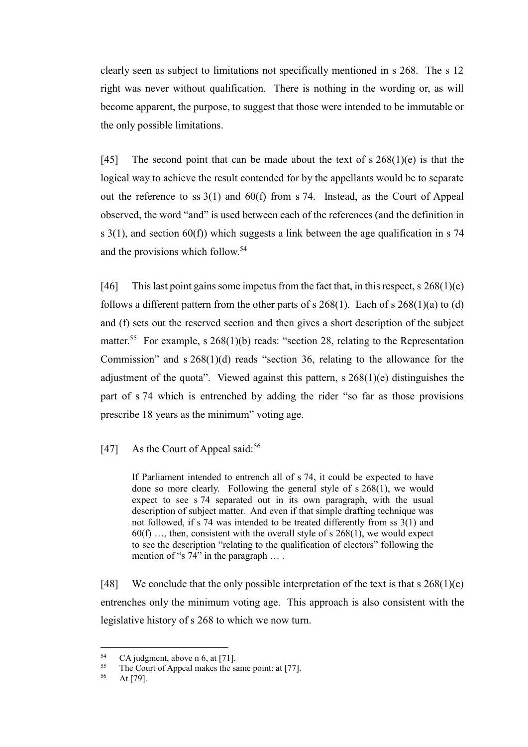clearly seen as subject to limitations not specifically mentioned in s 268. The s 12 right was never without qualification. There is nothing in the wording or, as will become apparent, the purpose, to suggest that those were intended to be immutable or the only possible limitations.

[45] The second point that can be made about the text of s  $268(1)(e)$  is that the logical way to achieve the result contended for by the appellants would be to separate out the reference to ss 3(1) and 60(f) from s 74. Instead, as the Court of Appeal observed, the word "and" is used between each of the references (and the definition in s  $3(1)$ , and section  $60(f)$ ) which suggests a link between the age qualification in s 74 and the provisions which follow.<sup>54</sup>

[46] This last point gains some impetus from the fact that, in this respect, s  $268(1)(e)$ follows a different pattern from the other parts of s  $268(1)$ . Each of s  $268(1)(a)$  to (d) and (f) sets out the reserved section and then gives a short description of the subject matter.<sup>55</sup> For example, s  $268(1)(b)$  reads: "section 28, relating to the Representation Commission" and s 268(1)(d) reads "section 36, relating to the allowance for the adjustment of the quota". Viewed against this pattern,  $s \, 268(1)(e)$  distinguishes the part of s 74 which is entrenched by adding the rider "so far as those provisions prescribe 18 years as the minimum" voting age.

## [47] As the Court of Appeal said: $56$

If Parliament intended to entrench all of s 74, it could be expected to have done so more clearly. Following the general style of s 268(1), we would expect to see s 74 separated out in its own paragraph, with the usual description of subject matter. And even if that simple drafting technique was not followed, if s 74 was intended to be treated differently from ss 3(1) and  $60(f)$  ..., then, consistent with the overall style of s 268(1), we would expect to see the description "relating to the qualification of electors" following the mention of "s 74" in the paragraph ....

[48] We conclude that the only possible interpretation of the text is that s  $268(1)(e)$ entrenches only the minimum voting age. This approach is also consistent with the legislative history of s 268 to which we now turn.

<sup>54</sup> <sup>54</sup> CA judgment, above n [6,](#page-2-2) at [71].<br> $\frac{55}{2}$  The Court of Anneal makes the si

<sup>&</sup>lt;sup>55</sup> The Court of Appeal makes the same point: at [77].<br> $^{56}$  At [79]

At [79].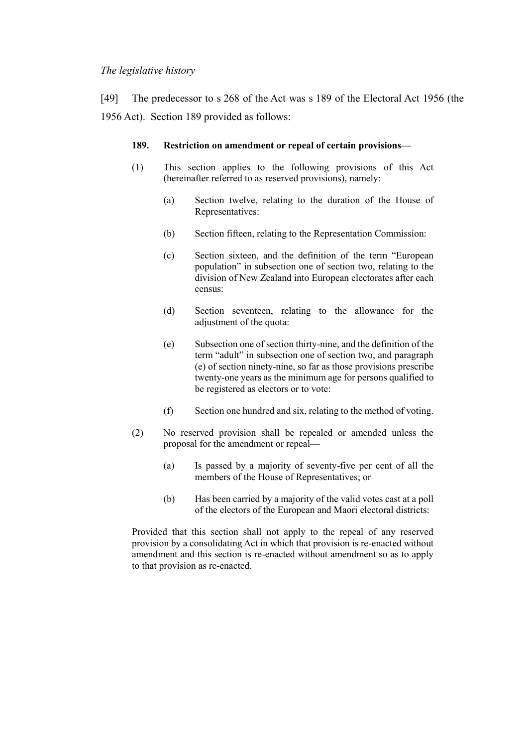## *The legislative history*

<span id="page-16-0"></span>[49] The predecessor to s 268 of the Act was s 189 of the Electoral Act 1956 (the 1956 Act). Section 189 provided as follows:

#### **189. Restriction on amendment or repeal of certain provisions—**

- (1) This section applies to the following provisions of this Act (hereinafter referred to as reserved provisions), namely:
	- (a) Section twelve, relating to the duration of the House of Representatives:
	- (b) Section fifteen, relating to the Representation Commission:
	- (c) Section sixteen, and the definition of the term "European population" in subsection one of section two, relating to the division of New Zealand into European electorates after each census:
	- (d) Section seventeen, relating to the allowance for the adjustment of the quota:
	- (e) Subsection one of section thirty-nine, and the definition of the term "adult" in subsection one of section two, and paragraph (e) of section ninety-nine, so far as those provisions prescribe twenty-one years as the minimum age for persons qualified to be registered as electors or to vote:
	- (f) Section one hundred and six, relating to the method of voting.
- (2) No reserved provision shall be repealed or amended unless the proposal for the amendment or repeal—
	- (a) Is passed by a majority of seventy-five per cent of all the members of the House of Representatives; or
	- (b) Has been carried by a majority of the valid votes cast at a poll of the electors of the European and Maori electoral districts:

Provided that this section shall not apply to the repeal of any reserved provision by a consolidating Act in which that provision is re-enacted without amendment and this section is re-enacted without amendment so as to apply to that provision as re-enacted.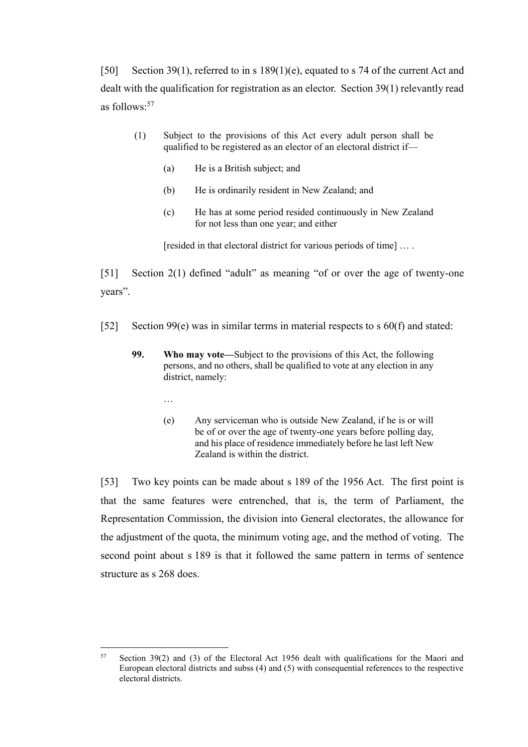[50] Section 39(1), referred to in s 189(1)(e), equated to s 74 of the current Act and dealt with the qualification for registration as an elector. Section 39(1) relevantly read as follows:<sup>57</sup>

- (1) Subject to the provisions of this Act every adult person shall be qualified to be registered as an elector of an electoral district if—
	- (a) He is a British subject; and
	- (b) He is ordinarily resident in New Zealand; and
	- (c) He has at some period resided continuously in New Zealand for not less than one year; and either

[resided in that electoral district for various periods of time] ... .

[51] Section 2(1) defined "adult" as meaning "of or over the age of twenty-one years".

- [52] Section 99(e) was in similar terms in material respects to s 60(f) and stated:
	- **99. Who may vote—**Subject to the provisions of this Act, the following persons, and no others, shall be qualified to vote at any election in any district, namely:
		- …
		- (e) Any serviceman who is outside New Zealand, if he is or will be of or over the age of twenty-one years before polling day, and his place of residence immediately before he last left New Zealand is within the district.

[53] Two key points can be made about s 189 of the 1956 Act. The first point is that the same features were entrenched, that is, the term of Parliament, the Representation Commission, the division into General electorates, the allowance for the adjustment of the quota, the minimum voting age, and the method of voting. The second point about s 189 is that it followed the same pattern in terms of sentence structure as s 268 does.

<sup>57</sup> Section 39(2) and (3) of the Electoral Act 1956 dealt with qualifications for the Maori and European electoral districts and subss (4) and (5) with consequential references to the respective electoral districts.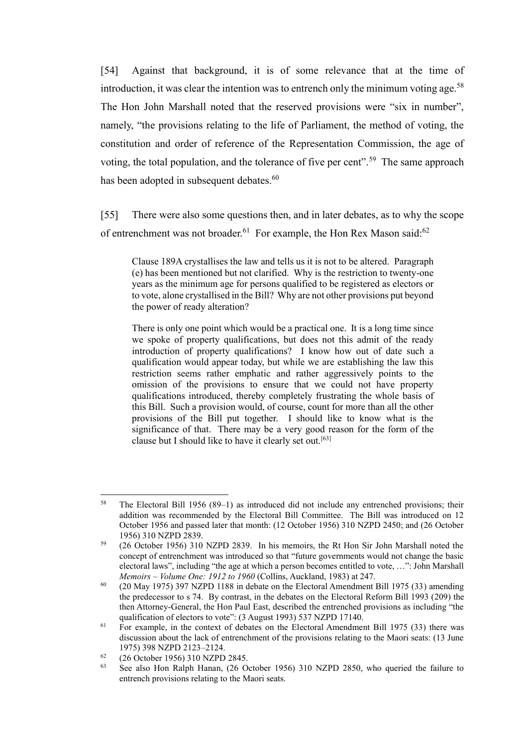[54] Against that background, it is of some relevance that at the time of introduction, it was clear the intention was to entrench only the minimum voting age.<sup>58</sup> The Hon John Marshall noted that the reserved provisions were "six in number", namely, "the provisions relating to the life of Parliament, the method of voting, the constitution and order of reference of the Representation Commission, the age of voting, the total population, and the tolerance of five per cent".<sup>59</sup> The same approach has been adopted in subsequent debates.<sup>60</sup>

[55] There were also some questions then, and in later debates, as to why the scope of entrenchment was not broader.<sup>61</sup> For example, the Hon Rex Mason said:<sup>62</sup>

Clause 189A crystallises the law and tells us it is not to be altered. Paragraph (e) has been mentioned but not clarified. Why is the restriction to twenty-one years as the minimum age for persons qualified to be registered as electors or to vote, alone crystallised in the Bill? Why are not other provisions put beyond the power of ready alteration?

There is only one point which would be a practical one. It is a long time since we spoke of property qualifications, but does not this admit of the ready introduction of property qualifications? I know how out of date such a qualification would appear today, but while we are establishing the law this restriction seems rather emphatic and rather aggressively points to the omission of the provisions to ensure that we could not have property qualifications introduced, thereby completely frustrating the whole basis of this Bill. Such a provision would, of course, count for more than all the other provisions of the Bill put together. I should like to know what is the significance of that. There may be a very good reason for the form of the clause but I should like to have it clearly set out.<sup>[63]</sup>

<sup>58</sup> The Electoral Bill 1956 (89–1) as introduced did not include any entrenched provisions; their addition was recommended by the Electoral Bill Committee. The Bill was introduced on 12 October 1956 and passed later that month: (12 October 1956) 310 NZPD 2450; and (26 October 1956) 310 NZPD 2839.

<sup>59</sup> (26 October 1956) 310 NZPD 2839. In his memoirs, the Rt Hon Sir John Marshall noted the concept of entrenchment was introduced so that "future governments would not change the basic electoral laws", including "the age at which a person becomes entitled to vote, …": John Marshall *Memoirs* – *Volume One: 1912 to 1960* (Collins, Auckland, 1983) at 247.

 $60$  (20 May 1975) 397 NZPD 1188 in debate on the Electoral Amendment Bill 1975 (33) amending the predecessor to s 74. By contrast, in the debates on the Electoral Reform Bill 1993 (209) the then Attorney-General, the Hon Paul East, described the entrenched provisions as including "the qualification of electors to vote": (3 August 1993) 537 NZPD 17140.

 $61$  For example, in the context of debates on the Electoral Amendment Bill 1975 (33) there was discussion about the lack of entrenchment of the provisions relating to the Maori seats: (13 June 1975) 398 NZPD 2123–2124.

 $^{62}$  (26 October 1956) 310 NZPD 2845.<br> $^{63}$  See also Hop Balph Happen (26 O

<sup>63</sup> See also Hon Ralph Hanan, (26 October 1956) 310 NZPD 2850, who queried the failure to entrench provisions relating to the Maori seats.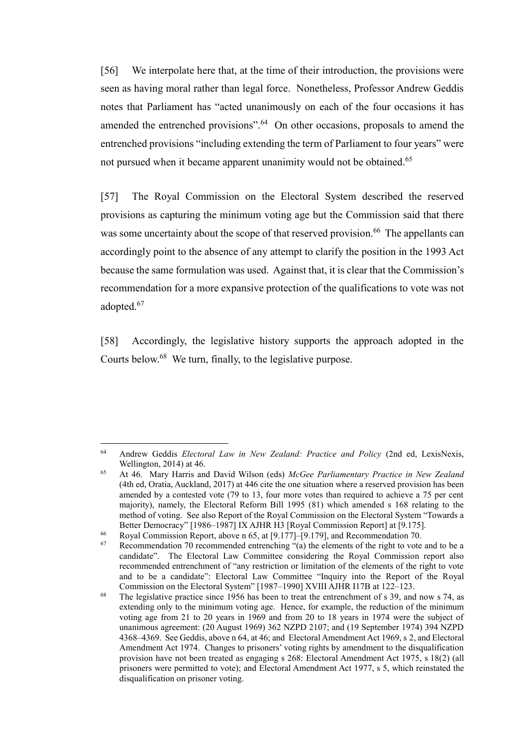<span id="page-19-1"></span>[56] We interpolate here that, at the time of their introduction, the provisions were seen as having moral rather than legal force. Nonetheless, Professor Andrew Geddis notes that Parliament has "acted unanimously on each of the four occasions it has amended the entrenched provisions".<sup>64</sup> On other occasions, proposals to amend the entrenched provisions "including extending the term of Parliament to four years" were not pursued when it became apparent unanimity would not be obtained.<sup>65</sup>

<span id="page-19-0"></span>[57] The Royal Commission on the Electoral System described the reserved provisions as capturing the minimum voting age but the Commission said that there was some uncertainty about the scope of that reserved provision.<sup>66</sup> The appellants can accordingly point to the absence of any attempt to clarify the position in the 1993 Act because the same formulation was used. Against that, it is clear that the Commission's recommendation for a more expansive protection of the qualifications to vote was not adopted.<sup>67</sup>

[58] Accordingly, the legislative history supports the approach adopted in the Courts below.<sup>68</sup> We turn, finally, to the legislative purpose.

<sup>64</sup> <sup>64</sup> Andrew Geddis *Electoral Law in New Zealand: Practice and Policy* (2nd ed, LexisNexis, Wellington, 2014) at 46.

<sup>65</sup> At 46. Mary Harris and David Wilson (eds) *McGee Parliamentary Practice in New Zealand*  (4th ed, Oratia, Auckland, 2017) at 446 cite the one situation where a reserved provision has been amended by a contested vote (79 to 13, four more votes than required to achieve a 75 per cent majority), namely, the Electoral Reform Bill 1995 (81) which amended s 168 relating to the method of voting. See also Report of the Royal Commission on the Electoral System "Towards a Better Democracy" [1986–1987] IX AJHR H3 [Royal Commission Report] at [9.175].

<sup>66</sup> Royal Commission Report, above n [65,](#page-19-0) at  $[9.177]$ – $[9.179]$ , and Recommendation 70.

Recommendation 70 recommended entrenching "(a) the elements of the right to vote and to be a candidate". The Electoral Law Committee considering the Royal Commission report also recommended entrenchment of "any restriction or limitation of the elements of the right to vote and to be a candidate": Electoral Law Committee "Inquiry into the Report of the Royal Commission on the Electoral System" [1987–1990] XVIII AJHR I17B at 122–123.

<sup>&</sup>lt;sup>68</sup> The legislative practice since 1956 has been to treat the entrenchment of s 39, and now s 74, as extending only to the minimum voting age. Hence, for example, the reduction of the minimum voting age from 21 to 20 years in 1969 and from 20 to 18 years in 1974 were the subject of unanimous agreement: (20 August 1969) 362 NZPD 2107; and (19 September 1974) 394 NZPD 4368–4369. See Geddis, above [n 64,](#page-19-1) at 46; and Electoral Amendment Act 1969, s 2, and Electoral Amendment Act 1974. Changes to prisoners' voting rights by amendment to the disqualification provision have not been treated as engaging s 268: Electoral Amendment Act 1975, s 18(2) (all prisoners were permitted to vote); and Electoral Amendment Act 1977, s 5, which reinstated the disqualification on prisoner voting.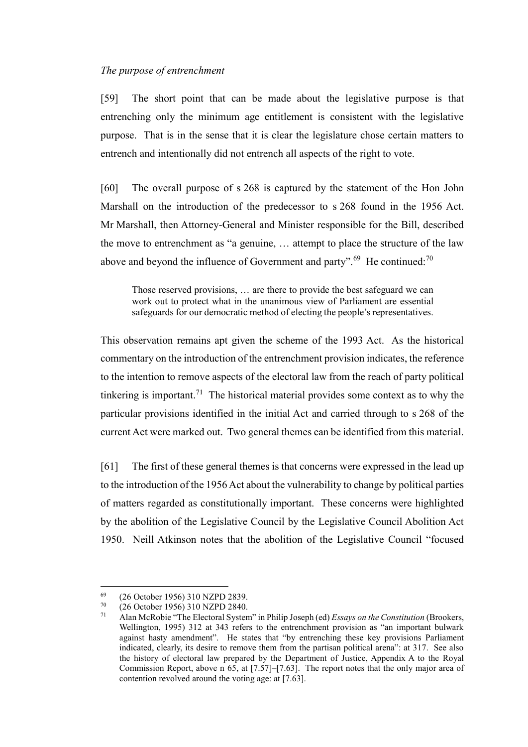### *The purpose of entrenchment*

<span id="page-20-0"></span>[59] The short point that can be made about the legislative purpose is that entrenching only the minimum age entitlement is consistent with the legislative purpose. That is in the sense that it is clear the legislature chose certain matters to entrench and intentionally did not entrench all aspects of the right to vote.

[60] The overall purpose of s 268 is captured by the statement of the Hon John Marshall on the introduction of the predecessor to s 268 found in the 1956 Act. Mr Marshall, then Attorney-General and Minister responsible for the Bill, described the move to entrenchment as "a genuine, … attempt to place the structure of the law above and beyond the influence of Government and party".<sup>69</sup> He continued:<sup>70</sup>

Those reserved provisions, … are there to provide the best safeguard we can work out to protect what in the unanimous view of Parliament are essential safeguards for our democratic method of electing the people's representatives.

<span id="page-20-1"></span>This observation remains apt given the scheme of the 1993 Act. As the historical commentary on the introduction of the entrenchment provision indicates, the reference to the intention to remove aspects of the electoral law from the reach of party political tinkering is important.<sup>71</sup> The historical material provides some context as to why the particular provisions identified in the initial Act and carried through to s 268 of the current Act were marked out. Two general themes can be identified from this material.

[61] The first of these general themes is that concerns were expressed in the lead up to the introduction of the 1956 Act about the vulnerability to change by political parties of matters regarded as constitutionally important. These concerns were highlighted by the abolition of the Legislative Council by the Legislative Council Abolition Act 1950. Neill Atkinson notes that the abolition of the Legislative Council "focused

 $^{69}$  (26 October 1956) 310 NZPD 2839.<br>  $^{70}$  (26 October 1956) 310 NZPD 2840

 $^{70}$  (26 October 1956) 310 NZPD 2840.<br> $^{71}$  Alan McRobie "The Electoral System"

<sup>71</sup> Alan McRobie "The Electoral System" in Philip Joseph (ed) *Essays on the Constitution* (Brookers, Wellington, 1995) 312 at 343 refers to the entrenchment provision as "an important bulwark against hasty amendment". He states that "by entrenching these key provisions Parliament indicated, clearly, its desire to remove them from the partisan political arena": at 317. See also the history of electoral law prepared by the Department of Justice, Appendix A to the Royal Commission Report, above n [65,](#page-19-0) at [7.57]–[7.63]. The report notes that the only major area of contention revolved around the voting age: at [7.63].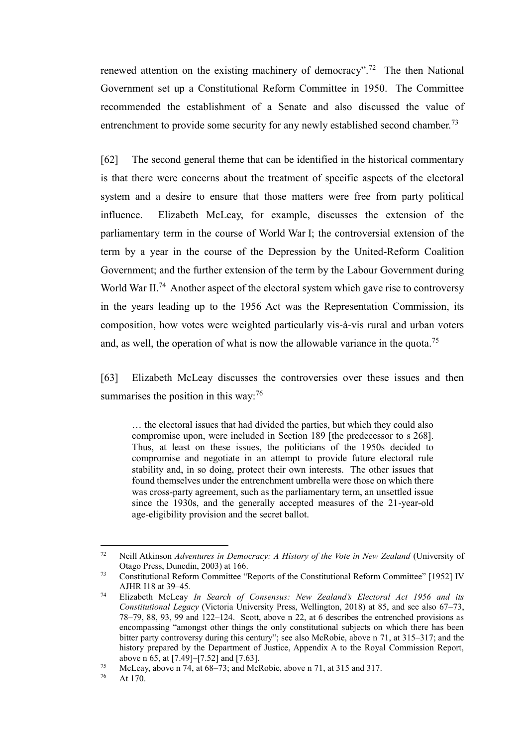renewed attention on the existing machinery of democracy".<sup>72</sup> The then National Government set up a Constitutional Reform Committee in 1950. The Committee recommended the establishment of a Senate and also discussed the value of entrenchment to provide some security for any newly established second chamber.<sup>73</sup>

[62] The second general theme that can be identified in the historical commentary is that there were concerns about the treatment of specific aspects of the electoral system and a desire to ensure that those matters were free from party political influence. Elizabeth McLeay, for example, discusses the extension of the parliamentary term in the course of World War I; the controversial extension of the term by a year in the course of the Depression by the United-Reform Coalition Government; and the further extension of the term by the Labour Government during World War II.<sup>74</sup> Another aspect of the electoral system which gave rise to controversy in the years leading up to the 1956 Act was the Representation Commission, its composition, how votes were weighted particularly vis-à-vis rural and urban voters and, as well, the operation of what is now the allowable variance in the quota.<sup>75</sup>

<span id="page-21-0"></span>[63] Elizabeth McLeay discusses the controversies over these issues and then summarises the position in this way: $76$ 

… the electoral issues that had divided the parties, but which they could also compromise upon, were included in Section 189 [the predecessor to s 268]. Thus, at least on these issues, the politicians of the 1950s decided to compromise and negotiate in an attempt to provide future electoral rule stability and, in so doing, protect their own interests. The other issues that found themselves under the entrenchment umbrella were those on which there was cross-party agreement, such as the parliamentary term, an unsettled issue since the 1930s, and the generally accepted measures of the 21-year-old age-eligibility provision and the secret ballot.

<sup>72</sup> Neill Atkinson *Adventures in Democracy: A History of the Vote in New Zealand* (University of Otago Press, Dunedin, 2003) at 166.

<sup>73</sup> Constitutional Reform Committee "Reports of the Constitutional Reform Committee" [1952] IV AJHR I18 at 39–45.

<sup>74</sup> Elizabeth McLeay *In Search of Consensus: New Zealand's Electoral Act 1956 and its Constitutional Legacy* (Victoria University Press, Wellington, 2018) at 85, and see also 67–73, 78–79, 88, 93, 99 and 122–124. Scott, above n [22,](#page-6-0) at 6 describes the entrenched provisions as encompassing "amongst other things the only constitutional subjects on which there has been bitter party controversy during this century"; see also McRobie, above n [71,](#page-20-1) at 315–317; and the history prepared by the Department of Justice, Appendix A to the Royal Commission Report, above [n 65,](#page-19-0) at [7.49]–[7.52] and [7.63].

<sup>&</sup>lt;sup>75</sup> McLeay, above n [74,](#page-21-0) at 68–73; and McRobie, above n [71,](#page-20-1) at 315 and 317.

At 170.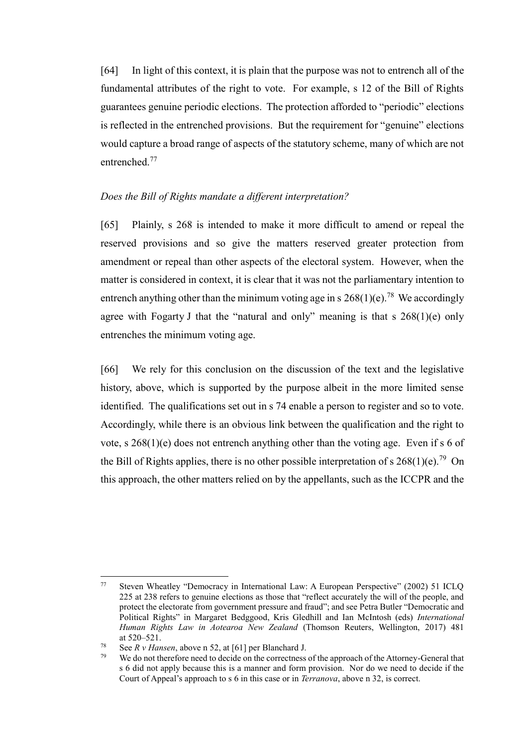[64] In light of this context, it is plain that the purpose was not to entrench all of the fundamental attributes of the right to vote. For example, s 12 of the Bill of Rights guarantees genuine periodic elections. The protection afforded to "periodic" elections is reflected in the entrenched provisions. But the requirement for "genuine" elections would capture a broad range of aspects of the statutory scheme, many of which are not entrenched<sup>77</sup>

## *Does the Bill of Rights mandate a different interpretation?*

<span id="page-22-0"></span>[65] Plainly, s 268 is intended to make it more difficult to amend or repeal the reserved provisions and so give the matters reserved greater protection from amendment or repeal than other aspects of the electoral system. However, when the matter is considered in context, it is clear that it was not the parliamentary intention to entrench anything other than the minimum voting age in s  $268(1)(e)$ .<sup>78</sup> We accordingly agree with Fogarty J that the "natural and only" meaning is that s  $268(1)(e)$  only entrenches the minimum voting age.

[66] We rely for this conclusion on the discussion of the text and the legislative history, above, which is supported by the purpose albeit in the more limited sense identified. The qualifications set out in s 74 enable a person to register and so to vote. Accordingly, while there is an obvious link between the qualification and the right to vote, s 268(1)(e) does not entrench anything other than the voting age. Even if s 6 of the Bill of Rights applies, there is no other possible interpretation of s  $268(1)(e)$ .<sup>79</sup> On this approach, the other matters relied on by the appellants, such as the ICCPR and the

<sup>77</sup> Steven Wheatley "Democracy in International Law: A European Perspective" (2002) 51 ICLQ 225 at 238 refers to genuine elections as those that "reflect accurately the will of the people, and protect the electorate from government pressure and fraud"; and see Petra Butler "Democratic and Political Rights" in Margaret Bedggood, Kris Gledhill and Ian McIntosh (eds) *International Human Rights Law in Aotearoa New Zealand* (Thomson Reuters, Wellington, 2017) 481 at 520–521.

<sup>78</sup> See *R v Hansen*, above [n 52,](#page-14-0) at [61] per Blanchard J.

We do not therefore need to decide on the correctness of the approach of the Attorney-General that s 6 did not apply because this is a manner and form provision. Nor do we need to decide if the Court of Appeal's approach to s 6 in this case or in *Terranova*, above n [32,](#page-10-1) is correct.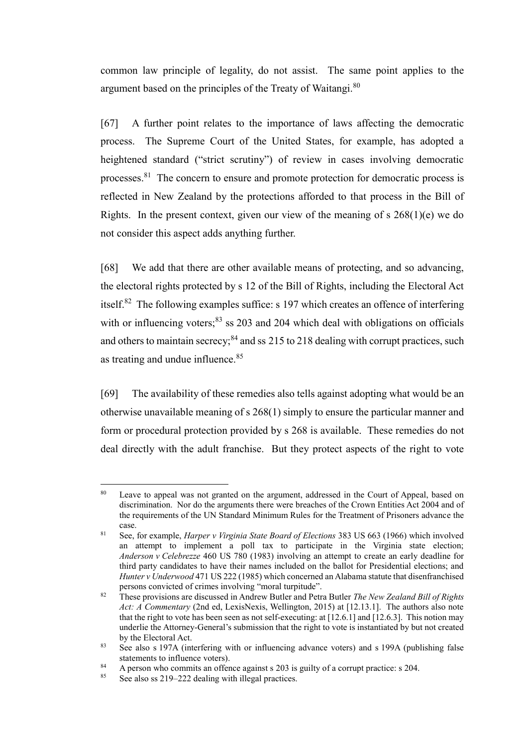common law principle of legality, do not assist. The same point applies to the argument based on the principles of the Treaty of Waitangi.<sup>80</sup>

[67] A further point relates to the importance of laws affecting the democratic process. The Supreme Court of the United States, for example, has adopted a heightened standard ("strict scrutiny") of review in cases involving democratic processes.<sup>81</sup> The concern to ensure and promote protection for democratic process is reflected in New Zealand by the protections afforded to that process in the Bill of Rights. In the present context, given our view of the meaning of s  $268(1)(e)$  we do not consider this aspect adds anything further.

[68] We add that there are other available means of protecting, and so advancing, the electoral rights protected by s 12 of the Bill of Rights, including the Electoral Act itself.<sup>82</sup> The following examples suffice: s 197 which creates an offence of interfering with or influencing voters; $^{83}$  ss 203 and 204 which deal with obligations on officials and others to maintain secrecy; $84$  and ss 215 to 218 dealing with corrupt practices, such as treating and undue influence.<sup>85</sup>

[69] The availability of these remedies also tells against adopting what would be an otherwise unavailable meaning of s 268(1) simply to ensure the particular manner and form or procedural protection provided by s 268 is available. These remedies do not deal directly with the adult franchise. But they protect aspects of the right to vote

<sup>&</sup>lt;sup>80</sup> Leave to appeal was not granted on the argument, addressed in the Court of Appeal, based on discrimination. Nor do the arguments there were breaches of the Crown Entities Act 2004 and of the requirements of the UN Standard Minimum Rules for the Treatment of Prisoners advance the case.

<sup>81</sup> See, for example, *Harper v Virginia State Board of Elections* 383 US 663 (1966) which involved an attempt to implement a poll tax to participate in the Virginia state election; *Anderson v Celebrezze* 460 US 780 (1983) involving an attempt to create an early deadline for third party candidates to have their names included on the ballot for Presidential elections; and *Hunter v Underwood* 471 US 222 (1985) which concerned an Alabama statute that disenfranchised persons convicted of crimes involving "moral turpitude".

<sup>82</sup> These provisions are discussed in Andrew Butler and Petra Butler *The New Zealand Bill of Rights Act: A Commentary* (2nd ed, LexisNexis, Wellington, 2015) at [12.13.1]. The authors also note that the right to vote has been seen as not self-executing: at [12.6.1] and [12.6.3]. This notion may underlie the Attorney-General's submission that the right to vote is instantiated by but not created by the Electoral Act.

<sup>&</sup>lt;sup>83</sup> See also s 197A (interfering with or influencing advance voters) and s 199A (publishing false statements to influence voters).

<sup>84</sup> A person who commits an offence against s 203 is guilty of a corrupt practice: s 204.<br>See also ss  $219-222$  dealing with illegal practices

See also ss 219–222 dealing with illegal practices.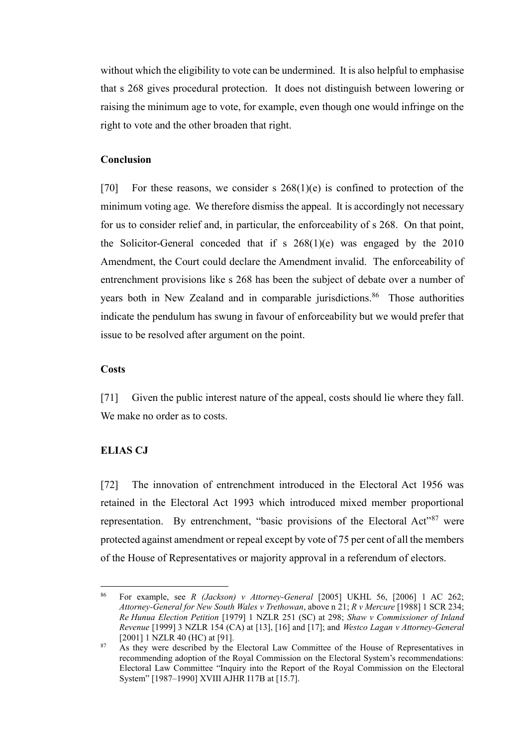without which the eligibility to vote can be undermined. It is also helpful to emphasise that s 268 gives procedural protection. It does not distinguish between lowering or raising the minimum age to vote, for example, even though one would infringe on the right to vote and the other broaden that right.

### **Conclusion**

<span id="page-24-1"></span>[70] For these reasons, we consider s  $268(1)(e)$  is confined to protection of the minimum voting age. We therefore dismiss the appeal. It is accordingly not necessary for us to consider relief and, in particular, the enforceability of s 268. On that point, the Solicitor-General conceded that if s 268(1)(e) was engaged by the 2010 Amendment, the Court could declare the Amendment invalid. The enforceability of entrenchment provisions like s 268 has been the subject of debate over a number of years both in New Zealand and in comparable jurisdictions.<sup>86</sup> Those authorities indicate the pendulum has swung in favour of enforceability but we would prefer that issue to be resolved after argument on the point.

### **Costs**

<span id="page-24-2"></span>[71] Given the public interest nature of the appeal, costs should lie where they fall. We make no order as to costs.

### <span id="page-24-0"></span>**ELIAS CJ**

 $\overline{a}$ 

[72] The innovation of entrenchment introduced in the Electoral Act 1956 was retained in the Electoral Act 1993 which introduced mixed member proportional representation. By entrenchment, "basic provisions of the Electoral Act"<sup>87</sup> were protected against amendment or repeal except by vote of 75 per cent of all the members of the House of Representatives or majority approval in a referendum of electors.

<sup>86</sup> For example, see *R (Jackson) v Attorney-General* [2005] UKHL 56, [2006] 1 AC 262; *Attorney-General for New South Wales v Trethowan*, above n [21;](#page-6-1) *R v Mercure* [1988] 1 SCR 234; *Re Hunua Election Petition* [1979] 1 NZLR 251 (SC) at 298; *Shaw v Commissioner of Inland Revenue* [1999] 3 NZLR 154 (CA) at [13], [16] and [17]; and *Westco Lagan v Attorney-General* [2001] 1 NZLR 40 (HC) at [91].

<sup>&</sup>lt;sup>87</sup> As they were described by the Electoral Law Committee of the House of Representatives in recommending adoption of the Royal Commission on the Electoral System's recommendations: Electoral Law Committee "Inquiry into the Report of the Royal Commission on the Electoral System" [1987–1990] XVIII AJHR I17B at [15.7].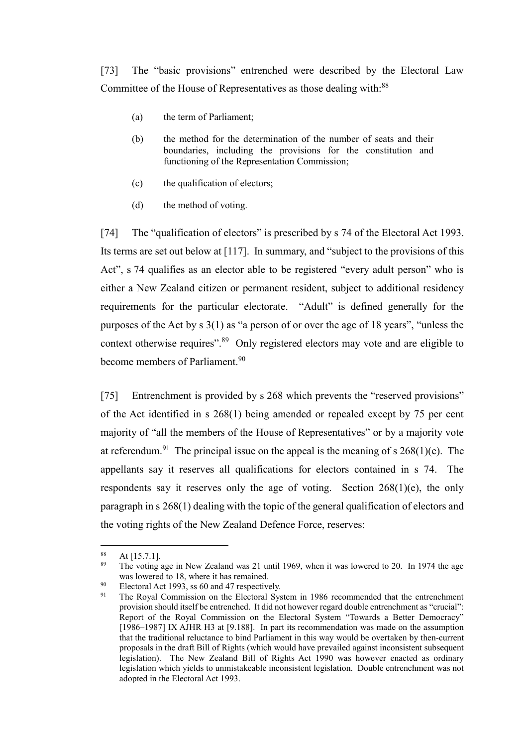[73] The "basic provisions" entrenched were described by the Electoral Law Committee of the House of Representatives as those dealing with:<sup>88</sup>

- (a) the term of Parliament;
- (b) the method for the determination of the number of seats and their boundaries, including the provisions for the constitution and functioning of the Representation Commission;
- (c) the qualification of electors;
- (d) the method of voting.

[74] The "qualification of electors" is prescribed by s 74 of the Electoral Act 1993. Its terms are set out below at [\[117\].](#page-40-0) In summary, and "subject to the provisions of this Act", s 74 qualifies as an elector able to be registered "every adult person" who is either a New Zealand citizen or permanent resident, subject to additional residency requirements for the particular electorate. "Adult" is defined generally for the purposes of the Act by s 3(1) as "a person of or over the age of 18 years", "unless the context otherwise requires".<sup>89</sup> Only registered electors may vote and are eligible to become members of Parliament.<sup>90</sup>

[75] Entrenchment is provided by s 268 which prevents the "reserved provisions" of the Act identified in s 268(1) being amended or repealed except by 75 per cent majority of "all the members of the House of Representatives" or by a majority vote at referendum.<sup>91</sup> The principal issue on the appeal is the meaning of s  $268(1)(e)$ . The appellants say it reserves all qualifications for electors contained in s 74. The respondents say it reserves only the age of voting. Section 268(1)(e), the only paragraph in s 268(1) dealing with the topic of the general qualification of electors and the voting rights of the New Zealand Defence Force, reserves:

 $88$  At [15.7.1].

<sup>89</sup> The voting age in New Zealand was 21 until 1969, when it was lowered to 20. In 1974 the age was lowered to 18, where it has remained.

<sup>&</sup>lt;sup>90</sup> Electoral Act 1993, ss 60 and 47 respectively.<br><sup>91</sup> The Royal Commission on the Electoral Sys

The Royal Commission on the Electoral System in 1986 recommended that the entrenchment provision should itself be entrenched. It did not however regard double entrenchment as "crucial": Report of the Royal Commission on the Electoral System "Towards a Better Democracy" [1986–1987] IX AJHR H3 at [9.188]. In part its recommendation was made on the assumption that the traditional reluctance to bind Parliament in this way would be overtaken by then-current proposals in the draft Bill of Rights (which would have prevailed against inconsistent subsequent legislation). The New Zealand Bill of Rights Act 1990 was however enacted as ordinary legislation which yields to unmistakeable inconsistent legislation. Double entrenchment was not adopted in the Electoral Act 1993.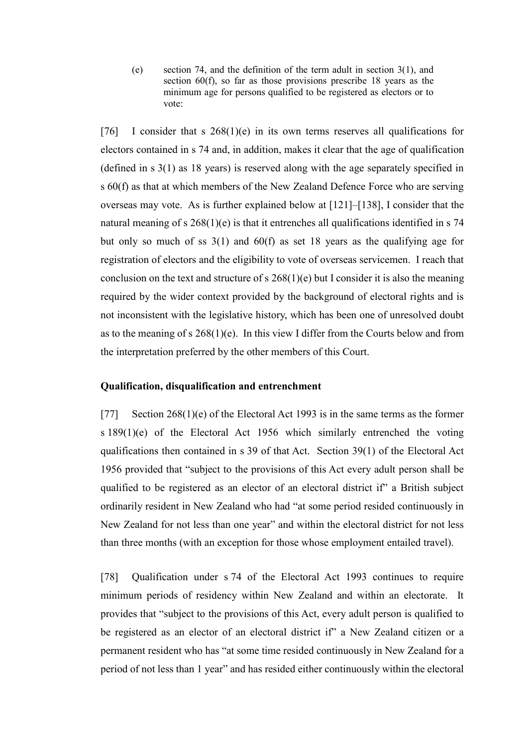(e) section 74, and the definition of the term adult in section 3(1), and section 60(f), so far as those provisions prescribe 18 years as the minimum age for persons qualified to be registered as electors or to vote:

[76] I consider that s  $268(1)(e)$  in its own terms reserves all qualifications for electors contained in s 74 and, in addition, makes it clear that the age of qualification (defined in s 3(1) as 18 years) is reserved along with the age separately specified in s 60(f) as that at which members of the New Zealand Defence Force who are serving overseas may vote. As is further explained below at [\[121\]](#page-41-0)[–\[138\],](#page-47-0) I consider that the natural meaning of s  $268(1)(e)$  is that it entrenches all qualifications identified in s 74 but only so much of ss 3(1) and 60(f) as set 18 years as the qualifying age for registration of electors and the eligibility to vote of overseas servicemen. I reach that conclusion on the text and structure of s  $268(1)(e)$  but I consider it is also the meaning required by the wider context provided by the background of electoral rights and is not inconsistent with the legislative history, which has been one of unresolved doubt as to the meaning of s  $268(1)(e)$ . In this view I differ from the Courts below and from the interpretation preferred by the other members of this Court.

## **Qualification, disqualification and entrenchment**

[77] Section 268(1)(e) of the Electoral Act 1993 is in the same terms as the former s 189(1)(e) of the Electoral Act 1956 which similarly entrenched the voting qualifications then contained in s 39 of that Act. Section 39(1) of the Electoral Act 1956 provided that "subject to the provisions of this Act every adult person shall be qualified to be registered as an elector of an electoral district if" a British subject ordinarily resident in New Zealand who had "at some period resided continuously in New Zealand for not less than one year" and within the electoral district for not less than three months (with an exception for those whose employment entailed travel).

[78] Qualification under s 74 of the Electoral Act 1993 continues to require minimum periods of residency within New Zealand and within an electorate. It provides that "subject to the provisions of this Act, every adult person is qualified to be registered as an elector of an electoral district if" a New Zealand citizen or a permanent resident who has "at some time resided continuously in New Zealand for a period of not less than 1 year" and has resided either continuously within the electoral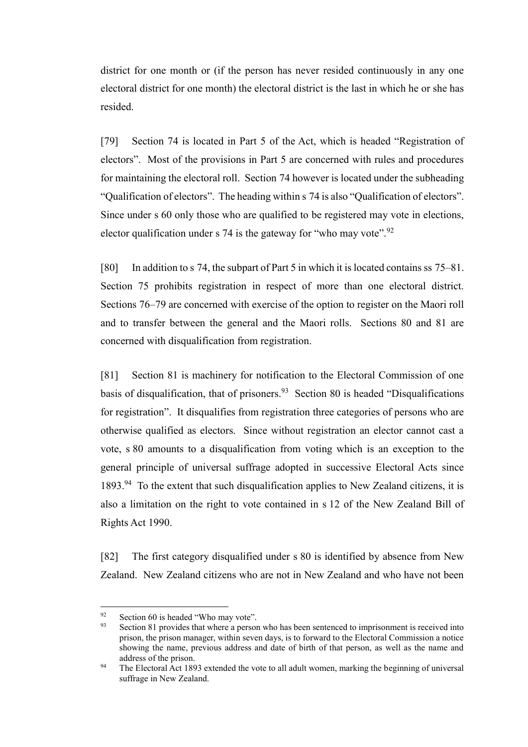district for one month or (if the person has never resided continuously in any one electoral district for one month) the electoral district is the last in which he or she has resided.

[79] Section 74 is located in Part 5 of the Act, which is headed "Registration of electors". Most of the provisions in Part 5 are concerned with rules and procedures for maintaining the electoral roll. Section 74 however is located under the subheading "Qualification of electors". The heading within s 74 is also "Qualification of electors". Since under s 60 only those who are qualified to be registered may vote in elections, elector qualification under s 74 is the gateway for "who may vote". $92$ 

[80] In addition to s 74, the subpart of Part 5 in which it is located contains ss 75–81. Section 75 prohibits registration in respect of more than one electoral district. Sections 76–79 are concerned with exercise of the option to register on the Maori roll and to transfer between the general and the Maori rolls. Sections 80 and 81 are concerned with disqualification from registration.

[81] Section 81 is machinery for notification to the Electoral Commission of one basis of disqualification, that of prisoners.  $93$  Section 80 is headed "Disqualifications for registration". It disqualifies from registration three categories of persons who are otherwise qualified as electors. Since without registration an elector cannot cast a vote, s 80 amounts to a disqualification from voting which is an exception to the general principle of universal suffrage adopted in successive Electoral Acts since 1893.<sup>94</sup> To the extent that such disqualification applies to New Zealand citizens, it is also a limitation on the right to vote contained in s 12 of the New Zealand Bill of Rights Act 1990.

[82] The first category disqualified under s 80 is identified by absence from New Zealand. New Zealand citizens who are not in New Zealand and who have not been

<sup>&</sup>lt;sup>92</sup> Section 60 is headed "Who may vote".<br><sup>93</sup> Section 81 provides that where a person

Section 81 provides that where a person who has been sentenced to imprisonment is received into prison, the prison manager, within seven days, is to forward to the Electoral Commission a notice showing the name, previous address and date of birth of that person, as well as the name and address of the prison.

<sup>&</sup>lt;sup>94</sup> The Electoral Act 1893 extended the vote to all adult women, marking the beginning of universal suffrage in New Zealand.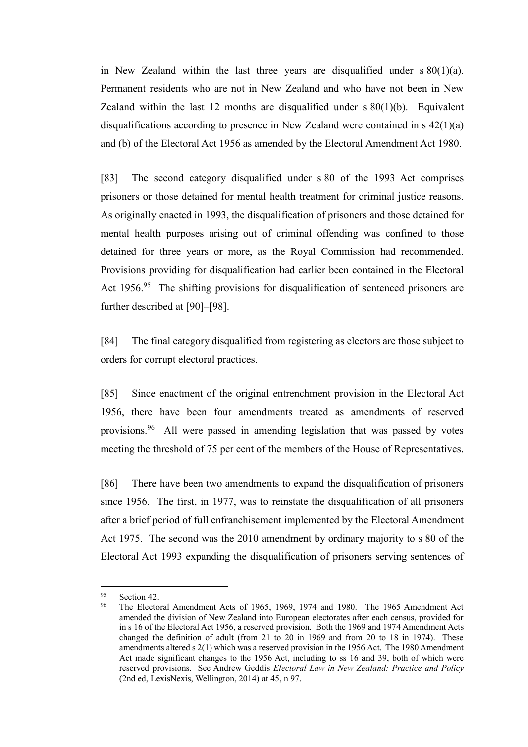in New Zealand within the last three years are disqualified under  $s\ 80(1)(a)$ . Permanent residents who are not in New Zealand and who have not been in New Zealand within the last 12 months are disqualified under  $s \, 80(1)(b)$ . Equivalent disqualifications according to presence in New Zealand were contained in s 42(1)(a) and (b) of the Electoral Act 1956 as amended by the Electoral Amendment Act 1980.

[83] The second category disqualified under s 80 of the 1993 Act comprises prisoners or those detained for mental health treatment for criminal justice reasons. As originally enacted in 1993, the disqualification of prisoners and those detained for mental health purposes arising out of criminal offending was confined to those detained for three years or more, as the Royal Commission had recommended. Provisions providing for disqualification had earlier been contained in the Electoral Act 1956.<sup>95</sup> The shifting provisions for disqualification of sentenced prisoners are further described at [\[90\]](#page-31-0)[–\[98\].](#page-33-0)

[84] The final category disqualified from registering as electors are those subject to orders for corrupt electoral practices.

[85] Since enactment of the original entrenchment provision in the Electoral Act 1956, there have been four amendments treated as amendments of reserved provisions.<sup>96</sup> All were passed in amending legislation that was passed by votes meeting the threshold of 75 per cent of the members of the House of Representatives.

[86] There have been two amendments to expand the disqualification of prisoners since 1956. The first, in 1977, was to reinstate the disqualification of all prisoners after a brief period of full enfranchisement implemented by the Electoral Amendment Act 1975. The second was the 2010 amendment by ordinary majority to s 80 of the Electoral Act 1993 expanding the disqualification of prisoners serving sentences of

<sup>95</sup> Section 42.

<sup>96</sup> The Electoral Amendment Acts of 1965, 1969, 1974 and 1980. The 1965 Amendment Act amended the division of New Zealand into European electorates after each census, provided for in s 16 of the Electoral Act 1956, a reserved provision. Both the 1969 and 1974 Amendment Acts changed the definition of adult (from 21 to 20 in 1969 and from 20 to 18 in 1974). These amendments altered s 2(1) which was a reserved provision in the 1956 Act. The 1980 Amendment Act made significant changes to the 1956 Act, including to ss 16 and 39, both of which were reserved provisions. See Andrew Geddis *Electoral Law in New Zealand: Practice and Policy*  (2nd ed, LexisNexis, Wellington, 2014) at 45, n 97.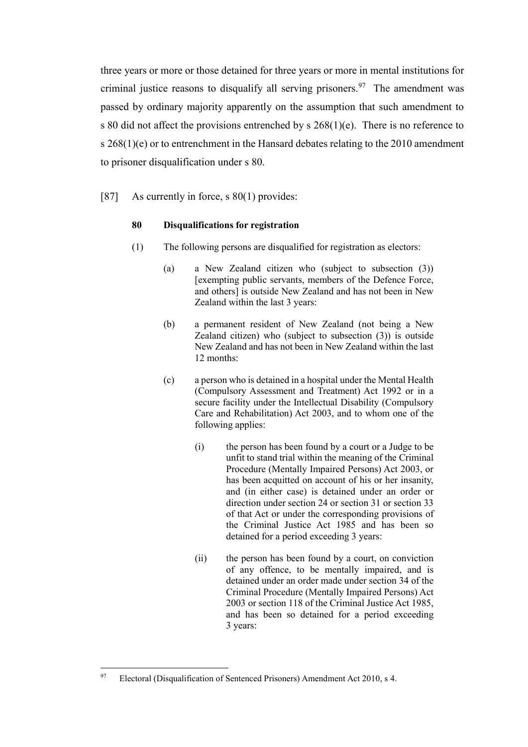three years or more or those detained for three years or more in mental institutions for criminal justice reasons to disqualify all serving prisoners.<sup>97</sup> The amendment was passed by ordinary majority apparently on the assumption that such amendment to s 80 did not affect the provisions entrenched by s 268(1)(e). There is no reference to s 268(1)(e) or to entrenchment in the Hansard debates relating to the 2010 amendment to prisoner disqualification under s 80.

### [87] As currently in force, s 80(1) provides:

#### **80 Disqualifications for registration**

- (1) The following persons are disqualified for registration as electors:
	- (a) a New Zealand citizen who (subject to subsection (3)) [exempting public servants, members of the Defence Force, and others] is outside New Zealand and has not been in New Zealand within the last 3 years:
	- (b) a permanent resident of New Zealand (not being a New Zealand citizen) who (subject to subsection (3)) is outside New Zealand and has not been in New Zealand within the last 12 months:
	- (c) a person who is detained in a hospital under the Mental Health (Compulsory Assessment and Treatment) Act 1992 or in a secure facility under the Intellectual Disability (Compulsory Care and Rehabilitation) Act 2003, and to whom one of the following applies:
		- (i) the person has been found by a court or a Judge to be unfit to stand trial within the meaning of the Criminal Procedure (Mentally Impaired Persons) Act 2003, or has been acquitted on account of his or her insanity, and (in either case) is detained under an order or direction under section 24 or section 31 or section 33 of that Act or under the corresponding provisions of the Criminal Justice Act 1985 and has been so detained for a period exceeding 3 years:
		- (ii) the person has been found by a court, on conviction of any offence, to be mentally impaired, and is detained under an order made under section 34 of the Criminal Procedure (Mentally Impaired Persons) Act 2003 or section 118 of the Criminal Justice Act 1985, and has been so detained for a period exceeding 3 years:

<sup>97</sup> Electoral (Disqualification of Sentenced Prisoners) Amendment Act 2010, s 4.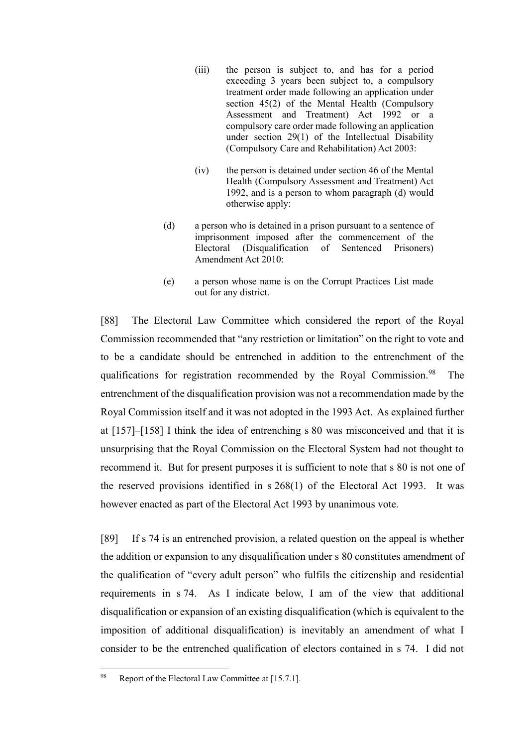- (iii) the person is subject to, and has for a period exceeding 3 years been subject to, a compulsory treatment order made following an application under section 45(2) of the Mental Health (Compulsory Assessment and Treatment) Act 1992 or a compulsory care order made following an application under section 29(1) of the Intellectual Disability (Compulsory Care and Rehabilitation) Act 2003:
- (iv) the person is detained under section 46 of the Mental Health (Compulsory Assessment and Treatment) Act 1992, and is a person to whom paragraph (d) would otherwise apply:
- (d) a person who is detained in a prison pursuant to a sentence of imprisonment imposed after the commencement of the Electoral (Disqualification of Sentenced Prisoners) Amendment Act 2010:
- (e) a person whose name is on the Corrupt Practices List made out for any district.

[88] The Electoral Law Committee which considered the report of the Royal Commission recommended that "any restriction or limitation" on the right to vote and to be a candidate should be entrenched in addition to the entrenchment of the qualifications for registration recommended by the Royal Commission.<sup>98</sup> The entrenchment of the disqualification provision was not a recommendation made by the Royal Commission itself and it was not adopted in the 1993 Act. As explained further at [\[157\]–](#page-54-0)[\[158\]](#page-54-1) I think the idea of entrenching s 80 was misconceived and that it is unsurprising that the Royal Commission on the Electoral System had not thought to recommend it. But for present purposes it is sufficient to note that s 80 is not one of the reserved provisions identified in s 268(1) of the Electoral Act 1993. It was however enacted as part of the Electoral Act 1993 by unanimous vote.

[89] If s 74 is an entrenched provision, a related question on the appeal is whether the addition or expansion to any disqualification under s 80 constitutes amendment of the qualification of "every adult person" who fulfils the citizenship and residential requirements in s 74. As I indicate below, I am of the view that additional disqualification or expansion of an existing disqualification (which is equivalent to the imposition of additional disqualification) is inevitably an amendment of what I consider to be the entrenched qualification of electors contained in s 74. I did not

<sup>98</sup> Report of the Electoral Law Committee at [15.7.1].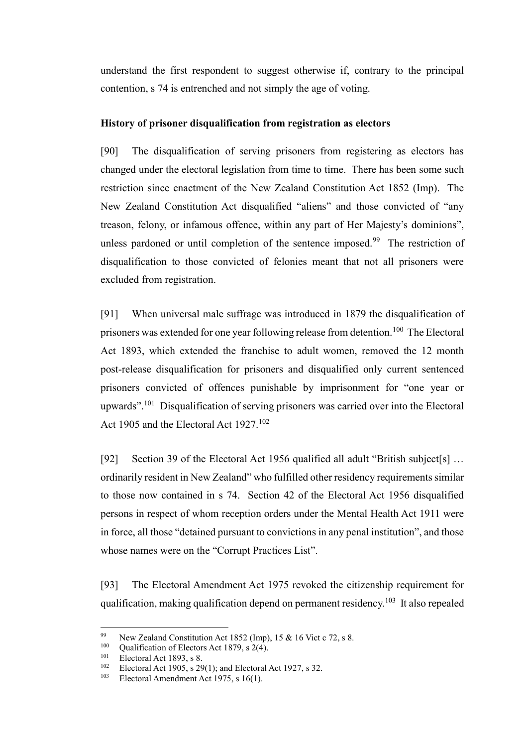understand the first respondent to suggest otherwise if, contrary to the principal contention, s 74 is entrenched and not simply the age of voting.

## **History of prisoner disqualification from registration as electors**

<span id="page-31-0"></span>[90] The disqualification of serving prisoners from registering as electors has changed under the electoral legislation from time to time. There has been some such restriction since enactment of the New Zealand Constitution Act 1852 (Imp). The New Zealand Constitution Act disqualified "aliens" and those convicted of "any treason, felony, or infamous offence, within any part of Her Majesty's dominions", unless pardoned or until completion of the sentence imposed.<sup>99</sup> The restriction of disqualification to those convicted of felonies meant that not all prisoners were excluded from registration.

[91] When universal male suffrage was introduced in 1879 the disqualification of prisoners was extended for one year following release from detention.<sup>100</sup> The Electoral Act 1893, which extended the franchise to adult women, removed the 12 month post-release disqualification for prisoners and disqualified only current sentenced prisoners convicted of offences punishable by imprisonment for "one year or upwards".<sup>101</sup> Disqualification of serving prisoners was carried over into the Electoral Act 1905 and the Electoral Act 1927.<sup>102</sup>

[92] Section 39 of the Electoral Act 1956 qualified all adult "British subject [s] ... ordinarily resident in New Zealand" who fulfilled other residency requirements similar to those now contained in s 74. Section 42 of the Electoral Act 1956 disqualified persons in respect of whom reception orders under the Mental Health Act 1911 were in force, all those "detained pursuant to convictions in any penal institution", and those whose names were on the "Corrupt Practices List".

[93] The Electoral Amendment Act 1975 revoked the citizenship requirement for qualification, making qualification depend on permanent residency.<sup>103</sup> It also repealed

<sup>99</sup> <sup>99</sup> New Zealand Constitution Act 1852 (Imp), 15 & 16 Vict c 72, s 8.<br><sup>100</sup> Oughification of Electors Act 1870, s 2(4)

<sup>&</sup>lt;sup>100</sup> Qualification of Electors Act 1879, s 2(4).

<sup>&</sup>lt;sup>101</sup> Electoral Act 1893, s 8.<br><sup>102</sup> Electoral Act 1905, s 29

<sup>&</sup>lt;sup>102</sup> Electoral Act 1905, s 29(1); and Electoral Act 1927, s 32.<br><sup>103</sup> Electoral Amendment Act 1975, s 16(1)

Electoral Amendment Act 1975, s 16(1).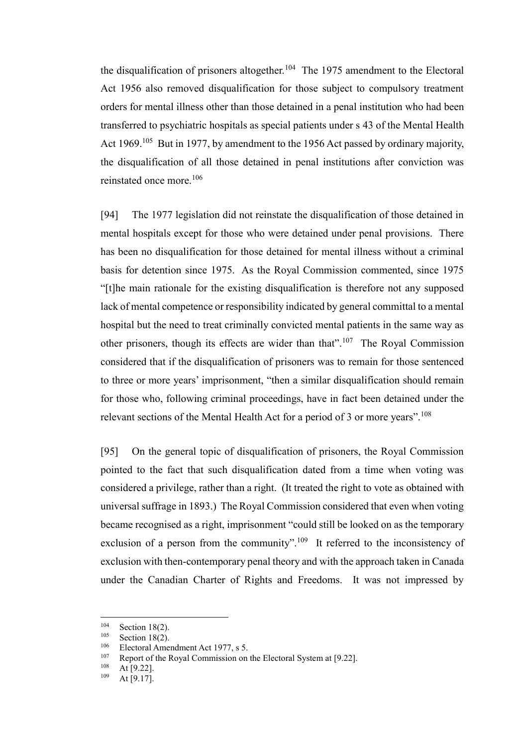the disqualification of prisoners altogether.<sup>104</sup> The 1975 amendment to the Electoral Act 1956 also removed disqualification for those subject to compulsory treatment orders for mental illness other than those detained in a penal institution who had been transferred to psychiatric hospitals as special patients under s 43 of the Mental Health Act 1969.<sup>105</sup> But in 1977, by amendment to the 1956 Act passed by ordinary majority, the disqualification of all those detained in penal institutions after conviction was reinstated once more.<sup>106</sup>

[94] The 1977 legislation did not reinstate the disqualification of those detained in mental hospitals except for those who were detained under penal provisions. There has been no disqualification for those detained for mental illness without a criminal basis for detention since 1975. As the Royal Commission commented, since 1975 "[t]he main rationale for the existing disqualification is therefore not any supposed lack of mental competence or responsibility indicated by general committal to a mental hospital but the need to treat criminally convicted mental patients in the same way as other prisoners, though its effects are wider than that".<sup>107</sup> The Royal Commission considered that if the disqualification of prisoners was to remain for those sentenced to three or more years' imprisonment, "then a similar disqualification should remain for those who, following criminal proceedings, have in fact been detained under the relevant sections of the Mental Health Act for a period of 3 or more years".<sup>108</sup>

[95] On the general topic of disqualification of prisoners, the Royal Commission pointed to the fact that such disqualification dated from a time when voting was considered a privilege, rather than a right. (It treated the right to vote as obtained with universal suffrage in 1893.) The Royal Commission considered that even when voting became recognised as a right, imprisonment "could still be looked on as the temporary exclusion of a person from the community".<sup>109</sup> It referred to the inconsistency of exclusion with then-contemporary penal theory and with the approach taken in Canada under the Canadian Charter of Rights and Freedoms. It was not impressed by

<sup>104</sup>  $\frac{104}{105}$  Section 18(2).

 $^{105}$  Section 18(2).

<sup>&</sup>lt;sup>106</sup> Electoral Amendment Act 1977, s 5.<br><sup>107</sup> Papert of the Pauel Commission on

<sup>&</sup>lt;sup>107</sup> Report of the Royal Commission on the Electoral System at [9.22].

 $\frac{108}{109}$  At [9.22].

At  $[9.17]$ .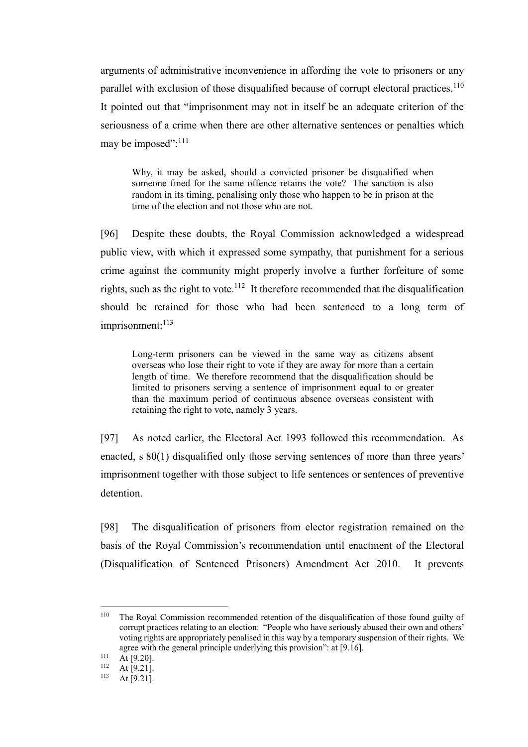arguments of administrative inconvenience in affording the vote to prisoners or any parallel with exclusion of those disqualified because of corrupt electoral practices.<sup>110</sup> It pointed out that "imprisonment may not in itself be an adequate criterion of the seriousness of a crime when there are other alternative sentences or penalties which may be imposed":<sup>111</sup>

Why, it may be asked, should a convicted prisoner be disqualified when someone fined for the same offence retains the vote? The sanction is also random in its timing, penalising only those who happen to be in prison at the time of the election and not those who are not.

[96] Despite these doubts, the Royal Commission acknowledged a widespread public view, with which it expressed some sympathy, that punishment for a serious crime against the community might properly involve a further forfeiture of some rights, such as the right to vote.<sup>112</sup> It therefore recommended that the disqualification should be retained for those who had been sentenced to a long term of  $imprisonment:$ <sup>113</sup>

Long-term prisoners can be viewed in the same way as citizens absent overseas who lose their right to vote if they are away for more than a certain length of time. We therefore recommend that the disqualification should be limited to prisoners serving a sentence of imprisonment equal to or greater than the maximum period of continuous absence overseas consistent with retaining the right to vote, namely 3 years.

[97] As noted earlier, the Electoral Act 1993 followed this recommendation. As enacted, s 80(1) disqualified only those serving sentences of more than three years' imprisonment together with those subject to life sentences or sentences of preventive detention.

<span id="page-33-0"></span>[98] The disqualification of prisoners from elector registration remained on the basis of the Royal Commission's recommendation until enactment of the Electoral (Disqualification of Sentenced Prisoners) Amendment Act 2010. It prevents

<sup>110</sup> The Royal Commission recommended retention of the disqualification of those found guilty of corrupt practices relating to an election: "People who have seriously abused their own and others' voting rights are appropriately penalised in this way by a temporary suspension of their rights. We agree with the general principle underlying this provision": at [9.16].

 $\frac{111}{112}$  At [9.20].

 $112$  At [9.21].<br> $113$  At [9.21]

At  $[9.21]$ .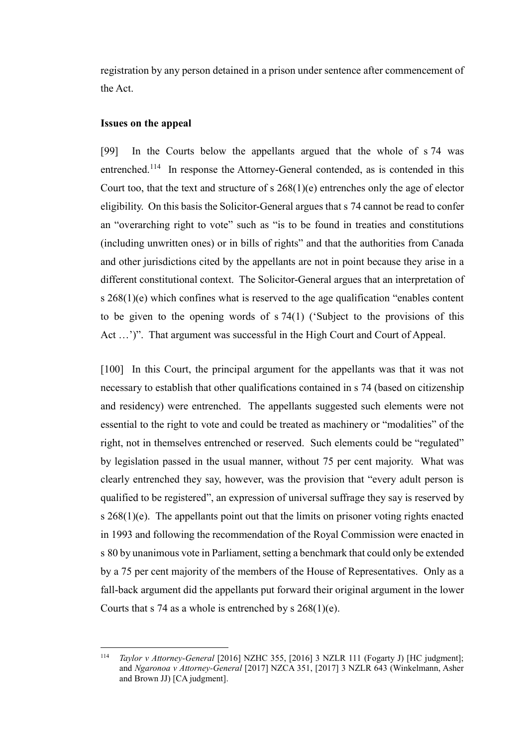registration by any person detained in a prison under sentence after commencement of the Act.

### **Issues on the appeal**

[99] In the Courts below the appellants argued that the whole of s 74 was entrenched.<sup>114</sup> In response the Attorney-General contended, as is contended in this Court too, that the text and structure of s 268(1)(e) entrenches only the age of elector eligibility. On this basis the Solicitor-General argues that s 74 cannot be read to confer an "overarching right to vote" such as "is to be found in treaties and constitutions (including unwritten ones) or in bills of rights" and that the authorities from Canada and other jurisdictions cited by the appellants are not in point because they arise in a different constitutional context. The Solicitor-General argues that an interpretation of s  $268(1)(e)$  which confines what is reserved to the age qualification "enables content" to be given to the opening words of s 74(1) ('Subject to the provisions of this Act ...')". That argument was successful in the High Court and Court of Appeal.

[100] In this Court, the principal argument for the appellants was that it was not necessary to establish that other qualifications contained in s 74 (based on citizenship and residency) were entrenched. The appellants suggested such elements were not essential to the right to vote and could be treated as machinery or "modalities" of the right, not in themselves entrenched or reserved. Such elements could be "regulated" by legislation passed in the usual manner, without 75 per cent majority. What was clearly entrenched they say, however, was the provision that "every adult person is qualified to be registered", an expression of universal suffrage they say is reserved by s 268(1)(e). The appellants point out that the limits on prisoner voting rights enacted in 1993 and following the recommendation of the Royal Commission were enacted in s 80 by unanimous vote in Parliament, setting a benchmark that could only be extended by a 75 per cent majority of the members of the House of Representatives. Only as a fall-back argument did the appellants put forward their original argument in the lower Courts that s 74 as a whole is entrenched by s  $268(1)(e)$ .

<sup>114</sup> <sup>114</sup> *Taylor v Attorney-General* [2016] NZHC 355, [2016] 3 NZLR 111 (Fogarty J) [HC judgment]; and *Ngaronoa v Attorney-General* [2017] NZCA 351, [2017] 3 NZLR 643 (Winkelmann, Asher and Brown JJ) [CA judgment].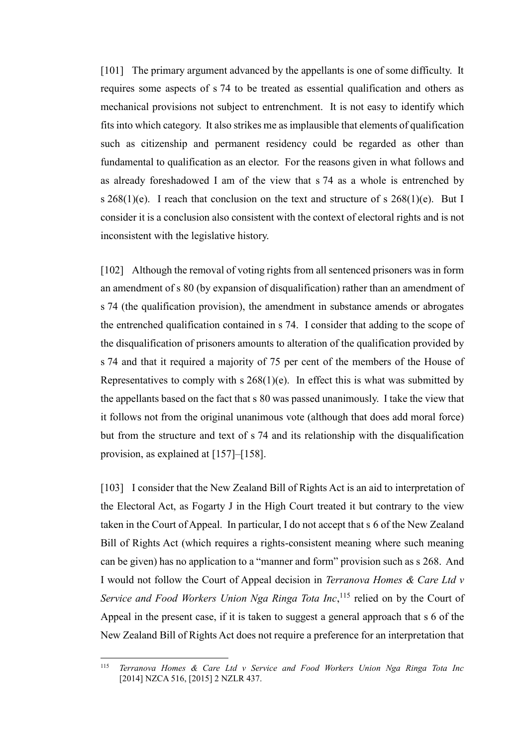<span id="page-35-0"></span>[101] The primary argument advanced by the appellants is one of some difficulty. It requires some aspects of s 74 to be treated as essential qualification and others as mechanical provisions not subject to entrenchment. It is not easy to identify which fits into which category. It also strikes me as implausible that elements of qualification such as citizenship and permanent residency could be regarded as other than fundamental to qualification as an elector. For the reasons given in what follows and as already foreshadowed I am of the view that s 74 as a whole is entrenched by s  $268(1)(e)$ . I reach that conclusion on the text and structure of s  $268(1)(e)$ . But I consider it is a conclusion also consistent with the context of electoral rights and is not inconsistent with the legislative history.

[102] Although the removal of voting rights from all sentenced prisoners was in form an amendment of s 80 (by expansion of disqualification) rather than an amendment of s 74 (the qualification provision), the amendment in substance amends or abrogates the entrenched qualification contained in s 74. I consider that adding to the scope of the disqualification of prisoners amounts to alteration of the qualification provided by s 74 and that it required a majority of 75 per cent of the members of the House of Representatives to comply with  $s \, 268(1)(e)$ . In effect this is what was submitted by the appellants based on the fact that s 80 was passed unanimously. I take the view that it follows not from the original unanimous vote (although that does add moral force) but from the structure and text of s 74 and its relationship with the disqualification provision, as explained at [\[157\]](#page-54-0)[–\[158\].](#page-54-1)

[103] I consider that the New Zealand Bill of Rights Act is an aid to interpretation of the Electoral Act, as Fogarty J in the High Court treated it but contrary to the view taken in the Court of Appeal. In particular, I do not accept that s 6 of the New Zealand Bill of Rights Act (which requires a rights-consistent meaning where such meaning can be given) has no application to a "manner and form" provision such as s 268. And I would not follow the Court of Appeal decision in *Terranova Homes & Care Ltd v*  Service and Food Workers Union Nga Ringa Tota Inc,<sup>115</sup> relied on by the Court of Appeal in the present case, if it is taken to suggest a general approach that s 6 of the New Zealand Bill of Rights Act does not require a preference for an interpretation that

<sup>115</sup> Terranova Homes & Care Ltd v Service and Food Workers Union Nga Ringa Tota Inc [2014] NZCA 516, [2015] 2 NZLR 437.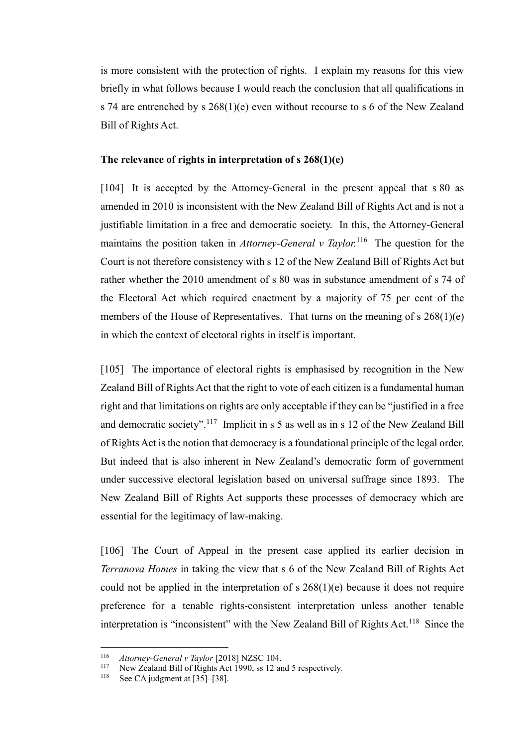is more consistent with the protection of rights. I explain my reasons for this view briefly in what follows because I would reach the conclusion that all qualifications in s 74 are entrenched by s 268(1)(e) even without recourse to s 6 of the New Zealand Bill of Rights Act.

### **The relevance of rights in interpretation of s 268(1)(e)**

[104] It is accepted by the Attorney-General in the present appeal that s 80 as amended in 2010 is inconsistent with the New Zealand Bill of Rights Act and is not a justifiable limitation in a free and democratic society. In this, the Attorney-General maintains the position taken in *Attorney-General v Taylor*.<sup>116</sup> The question for the Court is not therefore consistency with s 12 of the New Zealand Bill of Rights Act but rather whether the 2010 amendment of s 80 was in substance amendment of s 74 of the Electoral Act which required enactment by a majority of 75 per cent of the members of the House of Representatives. That turns on the meaning of s 268(1)(e) in which the context of electoral rights in itself is important.

[105] The importance of electoral rights is emphasised by recognition in the New Zealand Bill of Rights Act that the right to vote of each citizen is a fundamental human right and that limitations on rights are only acceptable if they can be "justified in a free and democratic society".<sup>117</sup> Implicit in s 5 as well as in s 12 of the New Zealand Bill of Rights Act is the notion that democracy is a foundational principle of the legal order. But indeed that is also inherent in New Zealand's democratic form of government under successive electoral legislation based on universal suffrage since 1893. The New Zealand Bill of Rights Act supports these processes of democracy which are essential for the legitimacy of law-making.

[106] The Court of Appeal in the present case applied its earlier decision in *Terranova Homes* in taking the view that s 6 of the New Zealand Bill of Rights Act could not be applied in the interpretation of  $s$  268(1)(e) because it does not require preference for a tenable rights-consistent interpretation unless another tenable interpretation is "inconsistent" with the New Zealand Bill of Rights Act.<sup>118</sup> Since the

<sup>116</sup> <sup>116</sup> *Attorney-General v Taylor* [2018] NZSC 104.

<sup>&</sup>lt;sup>117</sup> New Zealand Bill of Rights Act 1990, ss 12 and 5 respectively.<br><sup>118</sup> See CA indemnat t [25], [29]

See CA judgment at  $[35]$ – $[38]$ .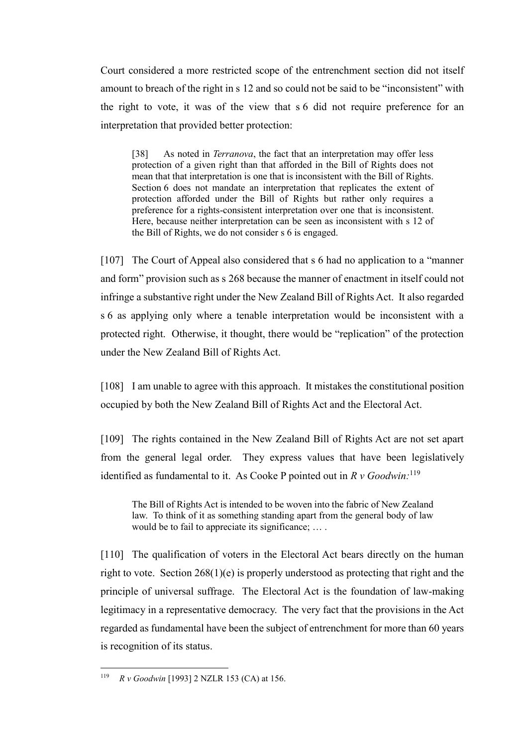Court considered a more restricted scope of the entrenchment section did not itself amount to breach of the right in s 12 and so could not be said to be "inconsistent" with the right to vote, it was of the view that s 6 did not require preference for an interpretation that provided better protection:

[38] As noted in *Terranova*, the fact that an interpretation may offer less protection of a given right than that afforded in the Bill of Rights does not mean that that interpretation is one that is inconsistent with the Bill of Rights. Section 6 does not mandate an interpretation that replicates the extent of protection afforded under the Bill of Rights but rather only requires a preference for a rights-consistent interpretation over one that is inconsistent. Here, because neither interpretation can be seen as inconsistent with s 12 of the Bill of Rights, we do not consider s 6 is engaged.

[107] The Court of Appeal also considered that s 6 had no application to a "manner" and form" provision such as s 268 because the manner of enactment in itself could not infringe a substantive right under the New Zealand Bill of Rights Act. It also regarded s 6 as applying only where a tenable interpretation would be inconsistent with a protected right. Otherwise, it thought, there would be "replication" of the protection under the New Zealand Bill of Rights Act.

[108] I am unable to agree with this approach. It mistakes the constitutional position occupied by both the New Zealand Bill of Rights Act and the Electoral Act.

[109] The rights contained in the New Zealand Bill of Rights Act are not set apart from the general legal order. They express values that have been legislatively identified as fundamental to it. As Cooke P pointed out in *R v Goodwin:*<sup>119</sup>

The Bill of Rights Act is intended to be woven into the fabric of New Zealand law. To think of it as something standing apart from the general body of law would be to fail to appreciate its significance; … .

[110] The qualification of voters in the Electoral Act bears directly on the human right to vote. Section 268(1)(e) is properly understood as protecting that right and the principle of universal suffrage. The Electoral Act is the foundation of law-making legitimacy in a representative democracy. The very fact that the provisions in the Act regarded as fundamental have been the subject of entrenchment for more than 60 years is recognition of its status.

 $\overline{a}$ <sup>119</sup> *R v Goodwin* [1993] 2 NZLR 153 (CA) at 156.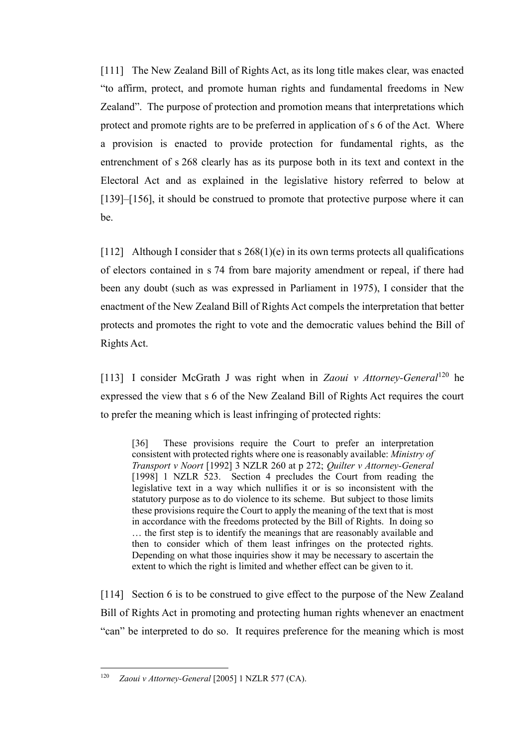[111] The New Zealand Bill of Rights Act, as its long title makes clear, was enacted "to affirm, protect, and promote human rights and fundamental freedoms in New Zealand". The purpose of protection and promotion means that interpretations which protect and promote rights are to be preferred in application of s 6 of the Act. Where a provision is enacted to provide protection for fundamental rights, as the entrenchment of s 268 clearly has as its purpose both in its text and context in the Electoral Act and as explained in the legislative history referred to below at [\[139\]](#page-47-1)[–\[156\],](#page-53-0) it should be construed to promote that protective purpose where it can be.

[112] Although I consider that s  $268(1)(e)$  in its own terms protects all qualifications of electors contained in s 74 from bare majority amendment or repeal, if there had been any doubt (such as was expressed in Parliament in 1975), I consider that the enactment of the New Zealand Bill of Rights Act compels the interpretation that better protects and promotes the right to vote and the democratic values behind the Bill of Rights Act.

[113] I consider McGrath J was right when in *Zaoui v Attorney-General*<sup>120</sup> he expressed the view that s 6 of the New Zealand Bill of Rights Act requires the court to prefer the meaning which is least infringing of protected rights:

[36] These provisions require the Court to prefer an interpretation consistent with protected rights where one is reasonably available: *Ministry of Transport v Noort* [1992] 3 NZLR 260 at p 272; *Quilter v Attorney-General*  [1998] 1 NZLR 523. Section 4 precludes the Court from reading the legislative text in a way which nullifies it or is so inconsistent with the statutory purpose as to do violence to its scheme. But subject to those limits these provisions require the Court to apply the meaning of the text that is most in accordance with the freedoms protected by the Bill of Rights. In doing so … the first step is to identify the meanings that are reasonably available and then to consider which of them least infringes on the protected rights. Depending on what those inquiries show it may be necessary to ascertain the extent to which the right is limited and whether effect can be given to it.

[114] Section 6 is to be construed to give effect to the purpose of the New Zealand Bill of Rights Act in promoting and protecting human rights whenever an enactment "can" be interpreted to do so. It requires preference for the meaning which is most

<sup>&</sup>lt;sup>120</sup> *Zaoui v Attorney-General* [2005] 1 NZLR 577 (CA).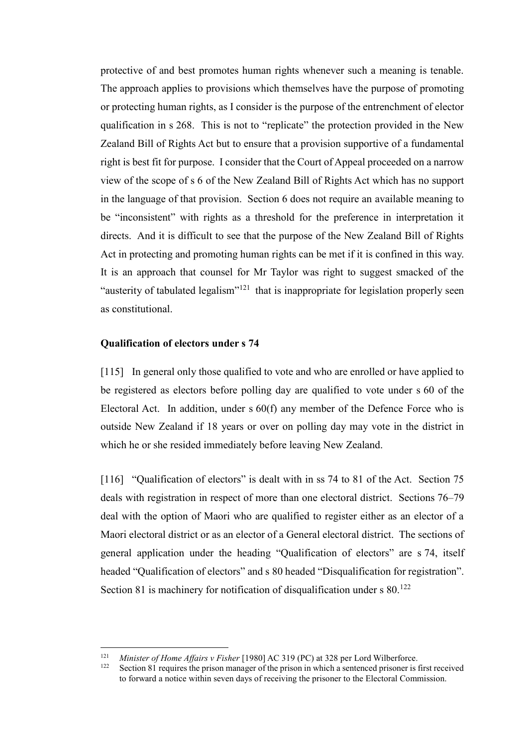protective of and best promotes human rights whenever such a meaning is tenable. The approach applies to provisions which themselves have the purpose of promoting or protecting human rights, as I consider is the purpose of the entrenchment of elector qualification in s 268. This is not to "replicate" the protection provided in the New Zealand Bill of Rights Act but to ensure that a provision supportive of a fundamental right is best fit for purpose. I consider that the Court of Appeal proceeded on a narrow view of the scope of s 6 of the New Zealand Bill of Rights Act which has no support in the language of that provision. Section 6 does not require an available meaning to be "inconsistent" with rights as a threshold for the preference in interpretation it directs. And it is difficult to see that the purpose of the New Zealand Bill of Rights Act in protecting and promoting human rights can be met if it is confined in this way. It is an approach that counsel for Mr Taylor was right to suggest smacked of the "austerity of tabulated legalism"<sup>121</sup> that is inappropriate for legislation properly seen as constitutional.

### **Qualification of electors under s 74**

[115] In general only those qualified to vote and who are enrolled or have applied to be registered as electors before polling day are qualified to vote under s 60 of the Electoral Act. In addition, under s 60(f) any member of the Defence Force who is outside New Zealand if 18 years or over on polling day may vote in the district in which he or she resided immediately before leaving New Zealand.

[116] "Qualification of electors" is dealt with in ss 74 to 81 of the Act. Section 75 deals with registration in respect of more than one electoral district. Sections 76–79 deal with the option of Maori who are qualified to register either as an elector of a Maori electoral district or as an elector of a General electoral district. The sections of general application under the heading "Qualification of electors" are s 74, itself headed "Qualification of electors" and s 80 headed "Disqualification for registration". Section 81 is machinery for notification of disqualification under  $s$  80.<sup>122</sup>

<sup>121</sup> <sup>121</sup> *Minister of Home Affairs v Fisher* [1980] AC 319 (PC) at 328 per Lord Wilberforce.

Section 81 requires the prison manager of the prison in which a sentenced prisoner is first received to forward a notice within seven days of receiving the prisoner to the Electoral Commission.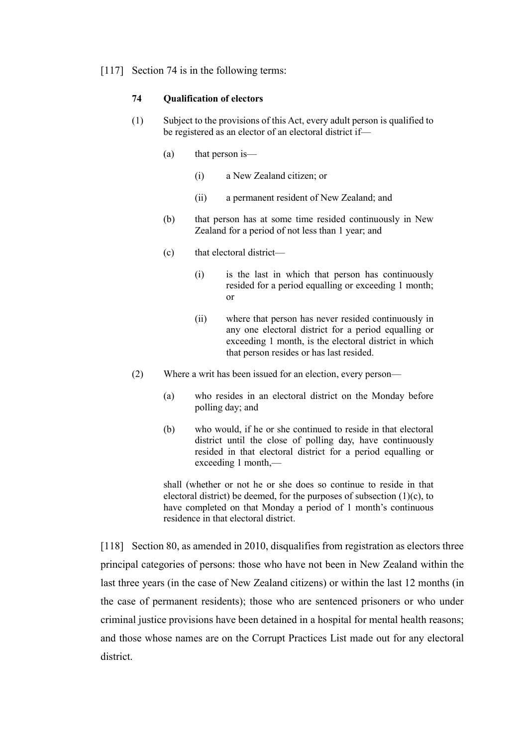<span id="page-40-0"></span>[117] Section 74 is in the following terms:

### **74 Qualification of electors**

- (1) Subject to the provisions of this Act, every adult person is qualified to be registered as an elector of an electoral district if—
	- (a) that person is—
		- (i) a New Zealand citizen; or
		- (ii) a permanent resident of New Zealand; and
	- (b) that person has at some time resided continuously in New Zealand for a period of not less than 1 year; and
	- (c) that electoral district—
		- (i) is the last in which that person has continuously resided for a period equalling or exceeding 1 month; or
		- (ii) where that person has never resided continuously in any one electoral district for a period equalling or exceeding 1 month, is the electoral district in which that person resides or has last resided.
- (2) Where a writ has been issued for an election, every person—
	- (a) who resides in an electoral district on the Monday before polling day; and
	- (b) who would, if he or she continued to reside in that electoral district until the close of polling day, have continuously resided in that electoral district for a period equalling or exceeding 1 month,—

shall (whether or not he or she does so continue to reside in that electoral district) be deemed, for the purposes of subsection  $(1)(c)$ , to have completed on that Monday a period of 1 month's continuous residence in that electoral district.

[118] Section 80, as amended in 2010, disqualifies from registration as electors three principal categories of persons: those who have not been in New Zealand within the last three years (in the case of New Zealand citizens) or within the last 12 months (in the case of permanent residents); those who are sentenced prisoners or who under criminal justice provisions have been detained in a hospital for mental health reasons; and those whose names are on the Corrupt Practices List made out for any electoral district.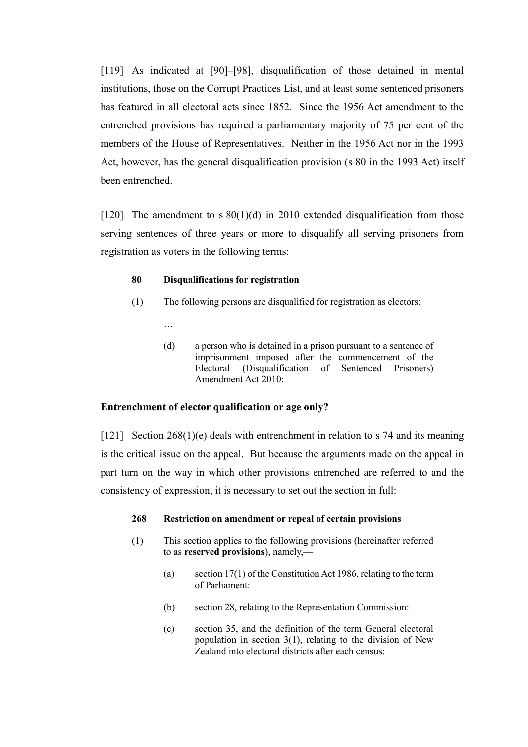[119] As indicated at [\[90\]](#page-31-0)[–\[98\],](#page-33-0) disqualification of those detained in mental institutions, those on the Corrupt Practices List, and at least some sentenced prisoners has featured in all electoral acts since 1852. Since the 1956 Act amendment to the entrenched provisions has required a parliamentary majority of 75 per cent of the members of the House of Representatives. Neither in the 1956 Act nor in the 1993 Act, however, has the general disqualification provision (s 80 in the 1993 Act) itself been entrenched.

[120] The amendment to s  $80(1)(d)$  in 2010 extended disqualification from those serving sentences of three years or more to disqualify all serving prisoners from registration as voters in the following terms:

### **80 Disqualifications for registration**

…

- (1) The following persons are disqualified for registration as electors:
	- (d) a person who is detained in a prison pursuant to a sentence of imprisonment imposed after the commencement of the Electoral (Disqualification of Sentenced Prisoners) Amendment Act 2010:

## **Entrenchment of elector qualification or age only?**

<span id="page-41-0"></span>[121] Section 268(1)(e) deals with entrenchment in relation to s 74 and its meaning is the critical issue on the appeal. But because the arguments made on the appeal in part turn on the way in which other provisions entrenched are referred to and the consistency of expression, it is necessary to set out the section in full:

## **268 Restriction on amendment or repeal of certain provisions**

- (1) This section applies to the following provisions (hereinafter referred to as **reserved provisions**), namely,—
	- (a) section 17(1) of the Constitution Act 1986, relating to the term of Parliament:
	- (b) section 28, relating to the Representation Commission:
	- (c) section 35, and the definition of the term General electoral population in section  $3(1)$ , relating to the division of New Zealand into electoral districts after each census: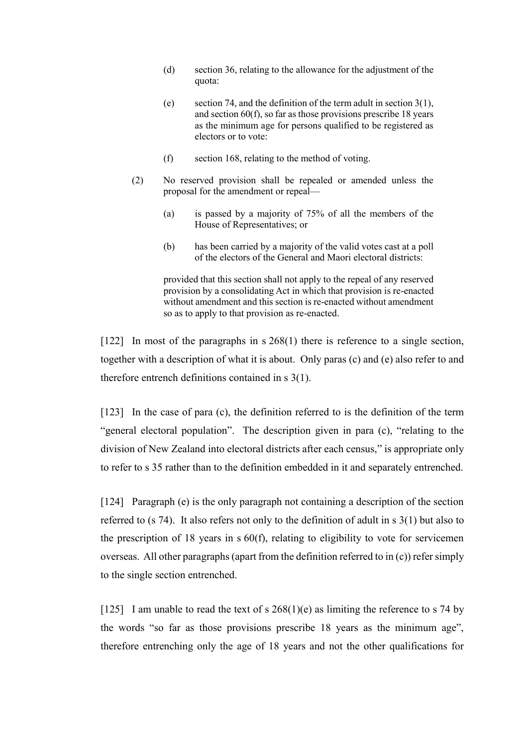- (d) section 36, relating to the allowance for the adjustment of the quota:
- (e) section 74, and the definition of the term adult in section 3(1), and section 60(f), so far as those provisions prescribe 18 years as the minimum age for persons qualified to be registered as electors or to vote:
- (f) section 168, relating to the method of voting.
- (2) No reserved provision shall be repealed or amended unless the proposal for the amendment or repeal—
	- (a) is passed by a majority of 75% of all the members of the House of Representatives; or
	- (b) has been carried by a majority of the valid votes cast at a poll of the electors of the General and Maori electoral districts:

provided that this section shall not apply to the repeal of any reserved provision by a consolidating Act in which that provision is re-enacted without amendment and this section is re-enacted without amendment so as to apply to that provision as re-enacted.

[122] In most of the paragraphs in s 268(1) there is reference to a single section, together with a description of what it is about. Only paras (c) and (e) also refer to and therefore entrench definitions contained in s 3(1).

[123] In the case of para (c), the definition referred to is the definition of the term "general electoral population". The description given in para (c), "relating to the division of New Zealand into electoral districts after each census," is appropriate only to refer to s 35 rather than to the definition embedded in it and separately entrenched.

[124] Paragraph (e) is the only paragraph not containing a description of the section referred to (s 74). It also refers not only to the definition of adult in s 3(1) but also to the prescription of 18 years in s 60(f), relating to eligibility to vote for servicemen overseas. All other paragraphs (apart from the definition referred to in (c)) refer simply to the single section entrenched.

[125] I am unable to read the text of s  $268(1)(e)$  as limiting the reference to s 74 by the words "so far as those provisions prescribe 18 years as the minimum age", therefore entrenching only the age of 18 years and not the other qualifications for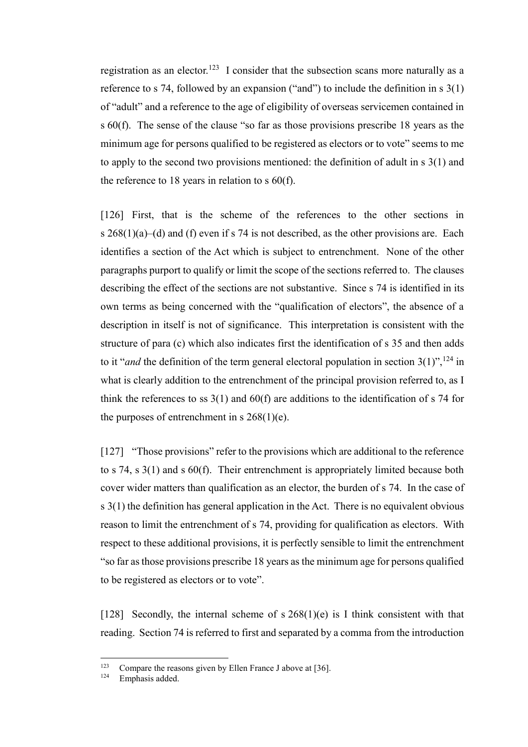registration as an elector.<sup>123</sup> I consider that the subsection scans more naturally as a reference to s 74, followed by an expansion ("and") to include the definition in s 3(1) of "adult" and a reference to the age of eligibility of overseas servicemen contained in s 60(f). The sense of the clause "so far as those provisions prescribe 18 years as the minimum age for persons qualified to be registered as electors or to vote" seems to me to apply to the second two provisions mentioned: the definition of adult in s 3(1) and the reference to 18 years in relation to s 60(f).

[126] First, that is the scheme of the references to the other sections in s 268(1)(a)–(d) and (f) even if s 74 is not described, as the other provisions are. Each identifies a section of the Act which is subject to entrenchment. None of the other paragraphs purport to qualify or limit the scope of the sections referred to. The clauses describing the effect of the sections are not substantive. Since s 74 is identified in its own terms as being concerned with the "qualification of electors", the absence of a description in itself is not of significance. This interpretation is consistent with the structure of para (c) which also indicates first the identification of s 35 and then adds to it "*and* the definition of the term general electoral population in section  $3(1)$ ", <sup>124</sup> in what is clearly addition to the entrenchment of the principal provision referred to, as I think the references to ss  $3(1)$  and  $60(f)$  are additions to the identification of s 74 for the purposes of entrenchment in s  $268(1)(e)$ .

[127] "Those provisions" refer to the provisions which are additional to the reference to s 74, s 3(1) and s 60(f). Their entrenchment is appropriately limited because both cover wider matters than qualification as an elector, the burden of s 74. In the case of s 3(1) the definition has general application in the Act. There is no equivalent obvious reason to limit the entrenchment of s 74, providing for qualification as electors. With respect to these additional provisions, it is perfectly sensible to limit the entrenchment "so far as those provisions prescribe 18 years as the minimum age for persons qualified to be registered as electors or to vote".

[128] Secondly, the internal scheme of s  $268(1)(e)$  is I think consistent with that reading. Section 74 is referred to first and separated by a comma from the introduction

<sup>123</sup> <sup>123</sup> Compare the reasons given by Ellen France J above at [\[36\].](#page-12-1)<br><sup>124</sup> Emphasis added

Emphasis added.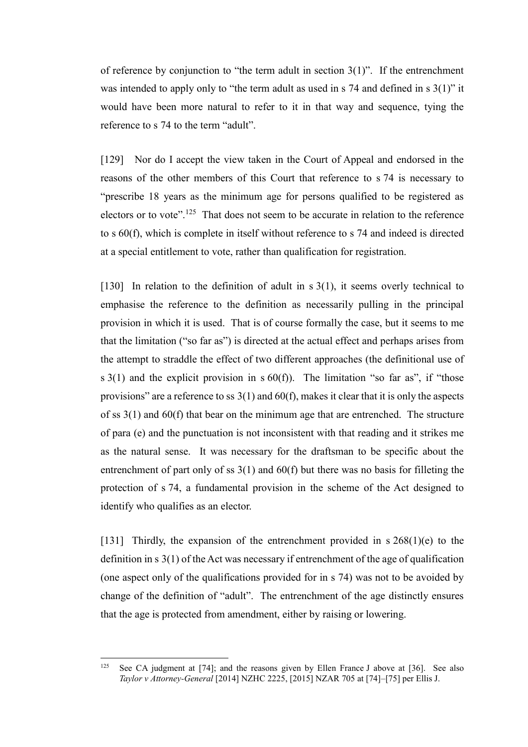of reference by conjunction to "the term adult in section  $3(1)$ ". If the entrenchment was intended to apply only to "the term adult as used in s 74 and defined in s 3(1)" it would have been more natural to refer to it in that way and sequence, tying the reference to s 74 to the term "adult".

[129] Nor do I accept the view taken in the Court of Appeal and endorsed in the reasons of the other members of this Court that reference to s 74 is necessary to "prescribe 18 years as the minimum age for persons qualified to be registered as electors or to vote".<sup>125</sup> That does not seem to be accurate in relation to the reference to s 60(f), which is complete in itself without reference to s 74 and indeed is directed at a special entitlement to vote, rather than qualification for registration.

[130] In relation to the definition of adult in  $s(1)$ , it seems overly technical to emphasise the reference to the definition as necessarily pulling in the principal provision in which it is used. That is of course formally the case, but it seems to me that the limitation ("so far as") is directed at the actual effect and perhaps arises from the attempt to straddle the effect of two different approaches (the definitional use of s  $3(1)$  and the explicit provision in s  $60(f)$ ). The limitation "so far as", if "those provisions" are a reference to ss  $3(1)$  and  $60(f)$ , makes it clear that it is only the aspects of ss 3(1) and 60(f) that bear on the minimum age that are entrenched. The structure of para (e) and the punctuation is not inconsistent with that reading and it strikes me as the natural sense. It was necessary for the draftsman to be specific about the entrenchment of part only of ss 3(1) and 60(f) but there was no basis for filleting the protection of s 74, a fundamental provision in the scheme of the Act designed to identify who qualifies as an elector.

[131] Thirdly, the expansion of the entrenchment provided in  $s \, 268(1)(e)$  to the definition in s 3(1) of the Act was necessary if entrenchment of the age of qualification (one aspect only of the qualifications provided for in s 74) was not to be avoided by change of the definition of "adult". The entrenchment of the age distinctly ensures that the age is protected from amendment, either by raising or lowering.

 $125$ See CA judgment at [74]; and the reasons given by Ellen France J above at [\[36\].](#page-12-1) See also *Taylor v Attorney-General* [2014] NZHC 2225, [2015] NZAR 705 at [74]–[75] per Ellis J.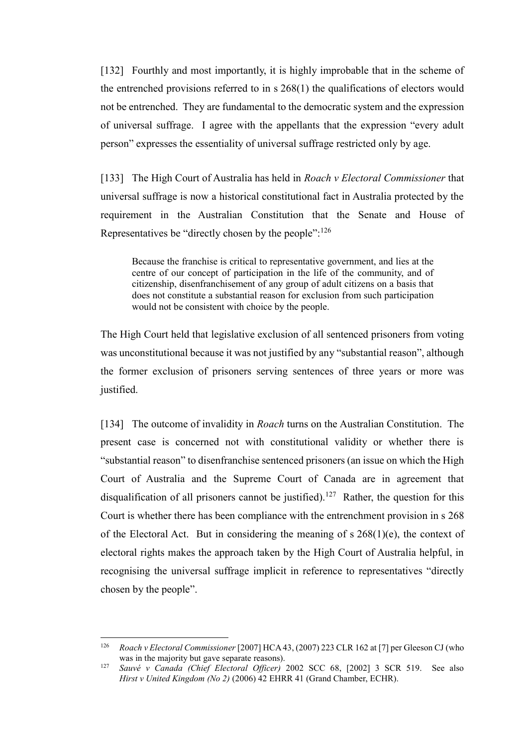[132] Fourthly and most importantly, it is highly improbable that in the scheme of the entrenched provisions referred to in s 268(1) the qualifications of electors would not be entrenched. They are fundamental to the democratic system and the expression of universal suffrage. I agree with the appellants that the expression "every adult person" expresses the essentiality of universal suffrage restricted only by age.

[133] The High Court of Australia has held in *Roach v Electoral Commissioner* that universal suffrage is now a historical constitutional fact in Australia protected by the requirement in the Australian Constitution that the Senate and House of Representatives be "directly chosen by the people":<sup>126</sup>

Because the franchise is critical to representative government, and lies at the centre of our concept of participation in the life of the community, and of citizenship, disenfranchisement of any group of adult citizens on a basis that does not constitute a substantial reason for exclusion from such participation would not be consistent with choice by the people.

The High Court held that legislative exclusion of all sentenced prisoners from voting was unconstitutional because it was not justified by any "substantial reason", although the former exclusion of prisoners serving sentences of three years or more was justified.

[134] The outcome of invalidity in *Roach* turns on the Australian Constitution. The present case is concerned not with constitutional validity or whether there is "substantial reason" to disenfranchise sentenced prisoners (an issue on which the High Court of Australia and the Supreme Court of Canada are in agreement that disqualification of all prisoners cannot be justified).<sup>127</sup> Rather, the question for this Court is whether there has been compliance with the entrenchment provision in s 268 of the Electoral Act. But in considering the meaning of s 268(1)(e), the context of electoral rights makes the approach taken by the High Court of Australia helpful, in recognising the universal suffrage implicit in reference to representatives "directly chosen by the people".

<sup>126</sup> *Roach v Electoral Commissioner* [2007] HCA 43, (2007) 223 CLR 162 at [7] per Gleeson CJ (who was in the majority but gave separate reasons).

<sup>127</sup> *Sauvé v Canada (Chief Electoral Officer)* 2002 SCC 68, [2002] 3 SCR 519. See also *Hirst v United Kingdom (No 2)* (2006) 42 EHRR 41 (Grand Chamber, ECHR).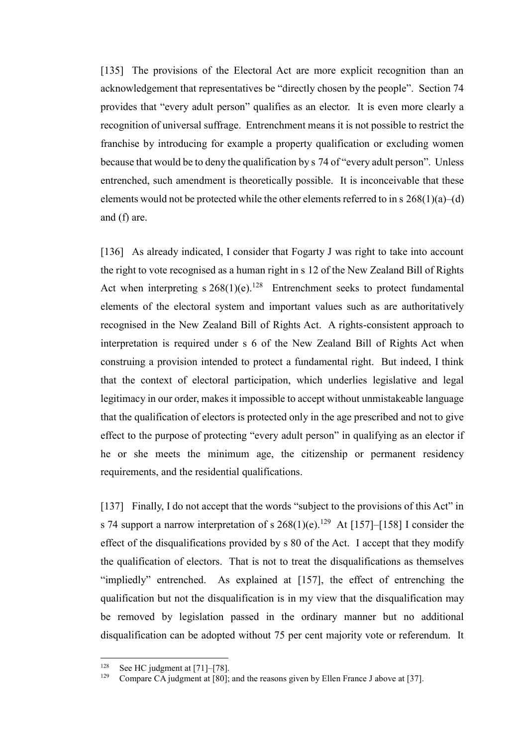[135] The provisions of the Electoral Act are more explicit recognition than an acknowledgement that representatives be "directly chosen by the people". Section 74 provides that "every adult person" qualifies as an elector. It is even more clearly a recognition of universal suffrage. Entrenchment means it is not possible to restrict the franchise by introducing for example a property qualification or excluding women because that would be to deny the qualification by s 74 of "every adult person". Unless entrenched, such amendment is theoretically possible. It is inconceivable that these elements would not be protected while the other elements referred to in s 268(1)(a)–(d) and (f) are.

[136] As already indicated, I consider that Fogarty J was right to take into account the right to vote recognised as a human right in s 12 of the New Zealand Bill of Rights Act when interpreting  $s \, 268(1)(e)^{128}$  Entrenchment seeks to protect fundamental elements of the electoral system and important values such as are authoritatively recognised in the New Zealand Bill of Rights Act. A rights-consistent approach to interpretation is required under s 6 of the New Zealand Bill of Rights Act when construing a provision intended to protect a fundamental right. But indeed, I think that the context of electoral participation, which underlies legislative and legal legitimacy in our order, makes it impossible to accept without unmistakeable language that the qualification of electors is protected only in the age prescribed and not to give effect to the purpose of protecting "every adult person" in qualifying as an elector if he or she meets the minimum age, the citizenship or permanent residency requirements, and the residential qualifications.

[137] Finally, I do not accept that the words "subject to the provisions of this Act" in s 74 support a narrow interpretation of s  $268(1)(e)$ .<sup>129</sup> At [\[157\]](#page-54-0)[–\[158\]](#page-54-1) I consider the effect of the disqualifications provided by s 80 of the Act. I accept that they modify the qualification of electors. That is not to treat the disqualifications as themselves "impliedly" entrenched. As explained at [\[157\],](#page-54-0) the effect of entrenching the qualification but not the disqualification is in my view that the disqualification may be removed by legislation passed in the ordinary manner but no additional disqualification can be adopted without 75 per cent majority vote or referendum. It

<sup>128</sup> <sup>128</sup> See HC judgment at [71]–[78].<br><sup>129</sup> Compare CA judgment at [80]<sup>-</sup>

Compare CA judgment at [80]; and the reasons given by Ellen France J above at [\[37\].](#page-12-2)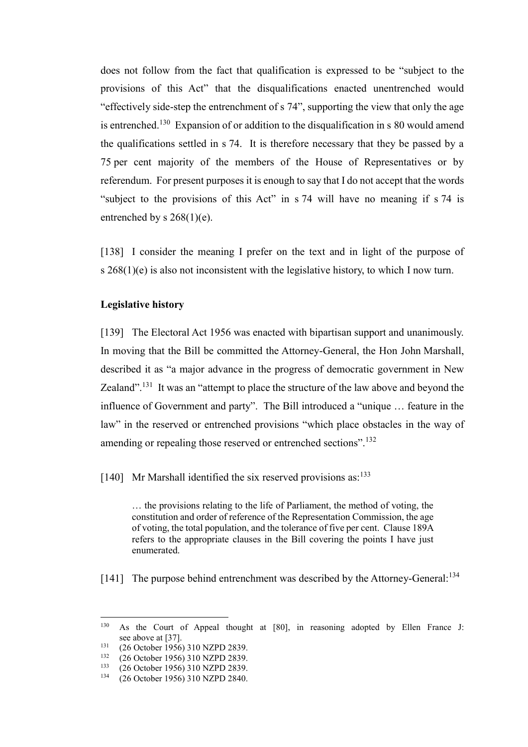does not follow from the fact that qualification is expressed to be "subject to the provisions of this Act" that the disqualifications enacted unentrenched would "effectively side-step the entrenchment of s 74", supporting the view that only the age is entrenched.<sup>130</sup> Expansion of or addition to the disqualification in s 80 would amend the qualifications settled in s 74. It is therefore necessary that they be passed by a 75 per cent majority of the members of the House of Representatives or by referendum. For present purposes it is enough to say that I do not accept that the words "subject to the provisions of this Act" in s 74 will have no meaning if s 74 is entrenched by s  $268(1)(e)$ .

<span id="page-47-0"></span>[138] I consider the meaning I prefer on the text and in light of the purpose of s 268(1)(e) is also not inconsistent with the legislative history, to which I now turn.

### **Legislative history**

<span id="page-47-1"></span>[139] The Electoral Act 1956 was enacted with bipartisan support and unanimously. In moving that the Bill be committed the Attorney-General, the Hon John Marshall, described it as "a major advance in the progress of democratic government in New Zealand".<sup>131</sup> It was an "attempt to place the structure of the law above and beyond the influence of Government and party". The Bill introduced a "unique … feature in the law" in the reserved or entrenched provisions "which place obstacles in the way of amending or repealing those reserved or entrenched sections".<sup>132</sup>

[140] Mr Marshall identified the six reserved provisions as:<sup>133</sup>

… the provisions relating to the life of Parliament, the method of voting, the constitution and order of reference of the Representation Commission, the age of voting, the total population, and the tolerance of five per cent. Clause 189A refers to the appropriate clauses in the Bill covering the points I have just enumerated.

[141] The purpose behind entrenchment was described by the Attorney-General:<sup>134</sup>

<sup>130</sup> <sup>130</sup> As the Court of Appeal thought at [80], in reasoning adopted by Ellen France J: see above at [\[37\].](#page-12-2)

<sup>&</sup>lt;sup>131</sup> (26 October 1956) 310 NZPD 2839.<br><sup>132</sup> (26 October 1956) 310 NZPD 2830.

<sup>&</sup>lt;sup>132</sup> (26 October 1956) 310 NZPD 2839.<br><sup>133</sup> (26 October 1956) 310 NZPD 2839.

<sup>&</sup>lt;sup>133</sup> (26 October 1956) 310 NZPD 2839.<br><sup>134</sup> (26 October 1956) 310 NZPD 2840.

<sup>134</sup> (26 October 1956) 310 NZPD 2840.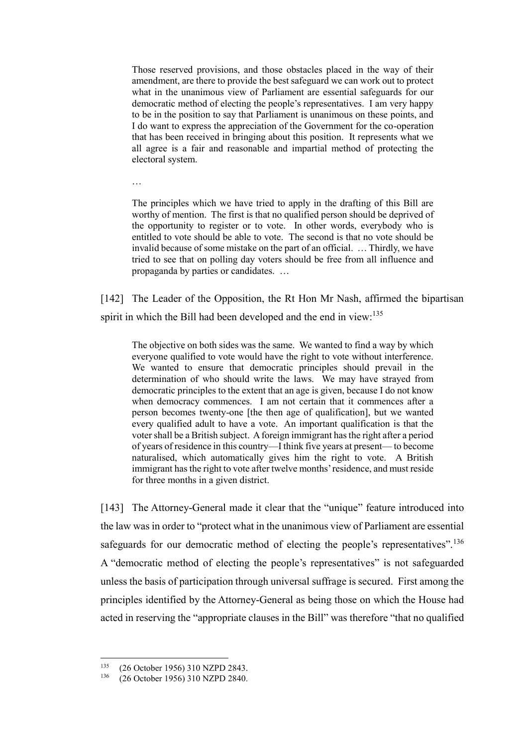Those reserved provisions, and those obstacles placed in the way of their amendment, are there to provide the best safeguard we can work out to protect what in the unanimous view of Parliament are essential safeguards for our democratic method of electing the people's representatives. I am very happy to be in the position to say that Parliament is unanimous on these points, and I do want to express the appreciation of the Government for the co-operation that has been received in bringing about this position. It represents what we all agree is a fair and reasonable and impartial method of protecting the electoral system.

…

The principles which we have tried to apply in the drafting of this Bill are worthy of mention. The first is that no qualified person should be deprived of the opportunity to register or to vote. In other words, everybody who is entitled to vote should be able to vote. The second is that no vote should be invalid because of some mistake on the part of an official. … Thirdly, we have tried to see that on polling day voters should be free from all influence and propaganda by parties or candidates. …

[142] The Leader of the Opposition, the Rt Hon Mr Nash, affirmed the bipartisan spirit in which the Bill had been developed and the end in view:<sup>135</sup>

The objective on both sides was the same. We wanted to find a way by which everyone qualified to vote would have the right to vote without interference. We wanted to ensure that democratic principles should prevail in the determination of who should write the laws. We may have strayed from democratic principles to the extent that an age is given, because I do not know when democracy commences. I am not certain that it commences after a person becomes twenty-one [the then age of qualification], but we wanted every qualified adult to have a vote. An important qualification is that the voter shall be a British subject. A foreign immigrant has the right after a period of years of residence in this country—I think five years at present— to become naturalised, which automatically gives him the right to vote. A British immigrant has the right to vote after twelve months' residence, and must reside for three months in a given district.

[143] The Attorney-General made it clear that the "unique" feature introduced into the law was in order to "protect what in the unanimous view of Parliament are essential safeguards for our democratic method of electing the people's representatives".<sup>136</sup> A "democratic method of electing the people's representatives" is not safeguarded unless the basis of participation through universal suffrage is secured. First among the principles identified by the Attorney-General as being those on which the House had acted in reserving the "appropriate clauses in the Bill" was therefore "that no qualified

<sup>135</sup> <sup>135</sup> (26 October 1956) 310 NZPD 2843.<br><sup>136</sup> (26 October 1956) 310 NZPD 2840.

<sup>136</sup> (26 October 1956) 310 NZPD 2840.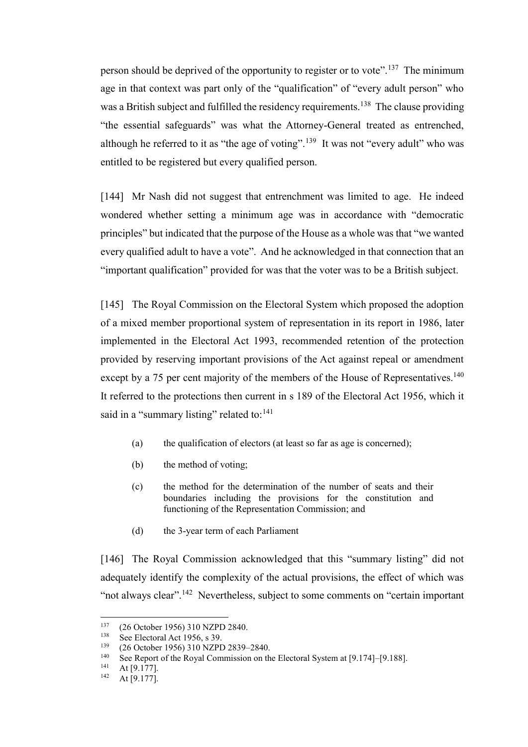person should be deprived of the opportunity to register or to vote".<sup>137</sup> The minimum age in that context was part only of the "qualification" of "every adult person" who was a British subject and fulfilled the residency requirements.<sup>138</sup> The clause providing "the essential safeguards" was what the Attorney-General treated as entrenched, although he referred to it as "the age of voting".<sup>139</sup> It was not "every adult" who was entitled to be registered but every qualified person.

[144] Mr Nash did not suggest that entrenchment was limited to age. He indeed wondered whether setting a minimum age was in accordance with "democratic principles" but indicated that the purpose of the House as a whole was that "we wanted every qualified adult to have a vote". And he acknowledged in that connection that an "important qualification" provided for was that the voter was to be a British subject.

[145] The Royal Commission on the Electoral System which proposed the adoption of a mixed member proportional system of representation in its report in 1986, later implemented in the Electoral Act 1993, recommended retention of the protection provided by reserving important provisions of the Act against repeal or amendment except by a 75 per cent majority of the members of the House of Representatives.<sup>140</sup> It referred to the protections then current in s 189 of the Electoral Act 1956, which it said in a "summary listing" related to:  $141$ 

- (a) the qualification of electors (at least so far as age is concerned);
- (b) the method of voting;
- (c) the method for the determination of the number of seats and their boundaries including the provisions for the constitution and functioning of the Representation Commission; and
- (d) the 3-year term of each Parliament

[146] The Royal Commission acknowledged that this "summary listing" did not adequately identify the complexity of the actual provisions, the effect of which was "not always clear".<sup>142</sup> Nevertheless, subject to some comments on "certain important"

<sup>137</sup>  $^{137}$  (26 October 1956) 310 NZPD 2840.

<sup>&</sup>lt;sup>138</sup> See Electoral Act 1956, s 39.<br><sup>139</sup> (26 October 1956) 310 NZDI

<sup>&</sup>lt;sup>139</sup> (26 October 1956) 310 NZPD 2839–2840.

<sup>&</sup>lt;sup>140</sup> See Report of the Royal Commission on the Electoral System at  $[9.174]$ – $[9.188]$ .<br><sup>141</sup> At [9.177]

At [9.177].

 $142$  At [9.177].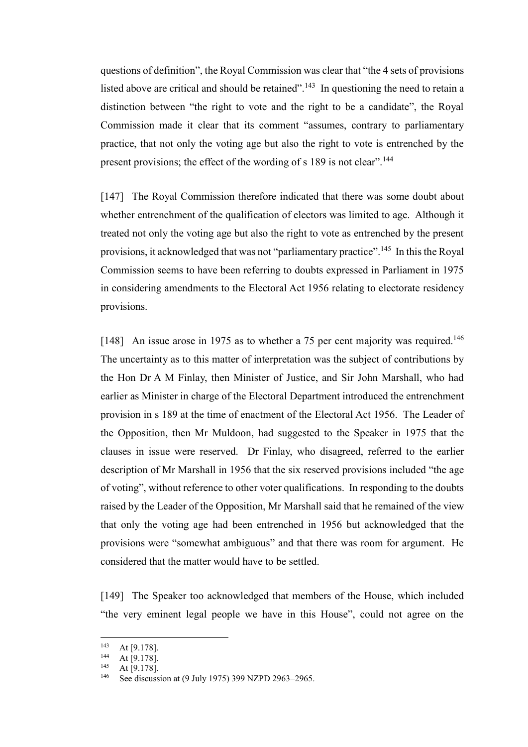questions of definition", the Royal Commission was clear that "the 4 sets of provisions listed above are critical and should be retained".<sup>143</sup> In questioning the need to retain a distinction between "the right to vote and the right to be a candidate", the Royal Commission made it clear that its comment "assumes, contrary to parliamentary practice, that not only the voting age but also the right to vote is entrenched by the present provisions; the effect of the wording of s 189 is not clear".<sup>144</sup>

[147] The Royal Commission therefore indicated that there was some doubt about whether entrenchment of the qualification of electors was limited to age. Although it treated not only the voting age but also the right to vote as entrenched by the present provisions, it acknowledged that was not "parliamentary practice".<sup>145</sup> In this the Royal Commission seems to have been referring to doubts expressed in Parliament in 1975 in considering amendments to the Electoral Act 1956 relating to electorate residency provisions.

[148] An issue arose in 1975 as to whether a 75 per cent majority was required.<sup>146</sup> The uncertainty as to this matter of interpretation was the subject of contributions by the Hon Dr A M Finlay, then Minister of Justice, and Sir John Marshall, who had earlier as Minister in charge of the Electoral Department introduced the entrenchment provision in s 189 at the time of enactment of the Electoral Act 1956. The Leader of the Opposition, then Mr Muldoon, had suggested to the Speaker in 1975 that the clauses in issue were reserved. Dr Finlay, who disagreed, referred to the earlier description of Mr Marshall in 1956 that the six reserved provisions included "the age of voting", without reference to other voter qualifications. In responding to the doubts raised by the Leader of the Opposition, Mr Marshall said that he remained of the view that only the voting age had been entrenched in 1956 but acknowledged that the provisions were "somewhat ambiguous" and that there was room for argument. He considered that the matter would have to be settled.

[149] The Speaker too acknowledged that members of the House, which included "the very eminent legal people we have in this House", could not agree on the

 $143$  At [9.178].<br> $144$  At [9.178]

 $144$  At [9.178].

At [9.178].

See discussion at (9 July 1975) 399 NZPD 2963-2965.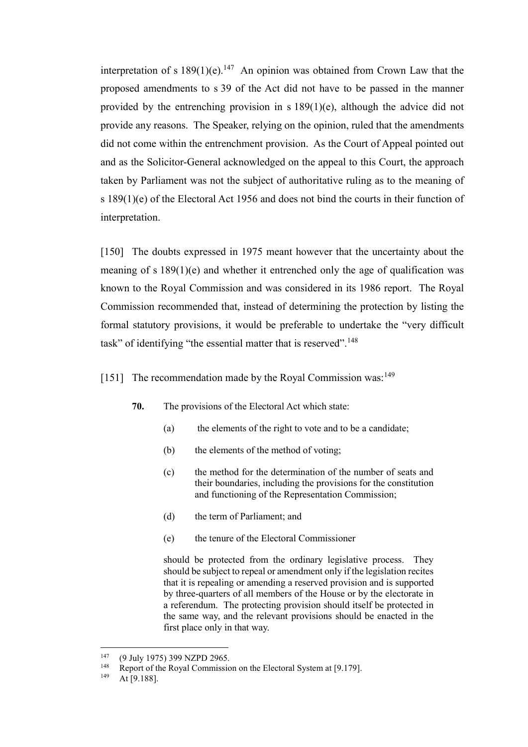interpretation of s  $189(1)(e)$ .<sup>147</sup> An opinion was obtained from Crown Law that the proposed amendments to s 39 of the Act did not have to be passed in the manner provided by the entrenching provision in s 189(1)(e), although the advice did not provide any reasons. The Speaker, relying on the opinion, ruled that the amendments did not come within the entrenchment provision. As the Court of Appeal pointed out and as the Solicitor-General acknowledged on the appeal to this Court, the approach taken by Parliament was not the subject of authoritative ruling as to the meaning of s 189(1)(e) of the Electoral Act 1956 and does not bind the courts in their function of interpretation.

[150] The doubts expressed in 1975 meant however that the uncertainty about the meaning of s 189(1)(e) and whether it entrenched only the age of qualification was known to the Royal Commission and was considered in its 1986 report. The Royal Commission recommended that, instead of determining the protection by listing the formal statutory provisions, it would be preferable to undertake the "very difficult task" of identifying "the essential matter that is reserved".<sup>148</sup>

# [151] The recommendation made by the Royal Commission was: $149$

- **70.** The provisions of the Electoral Act which state:
	- (a) the elements of the right to vote and to be a candidate;
	- (b) the elements of the method of voting;
	- (c) the method for the determination of the number of seats and their boundaries, including the provisions for the constitution and functioning of the Representation Commission;
	- (d) the term of Parliament; and
	- (e) the tenure of the Electoral Commissioner

should be protected from the ordinary legislative process. They should be subject to repeal or amendment only if the legislation recites that it is repealing or amending a reserved provision and is supported by three-quarters of all members of the House or by the electorate in a referendum. The protecting provision should itself be protected in the same way, and the relevant provisions should be enacted in the first place only in that way.

<sup>147</sup> <sup>147</sup> (9 July 1975) 399 NZPD 2965.<br><sup>148</sup> Report of the Royal Commission

<sup>&</sup>lt;sup>148</sup> Report of the Royal Commission on the Electoral System at [9.179].<br><sup>149</sup>  $A + [0, 198]$ 

At [9.188].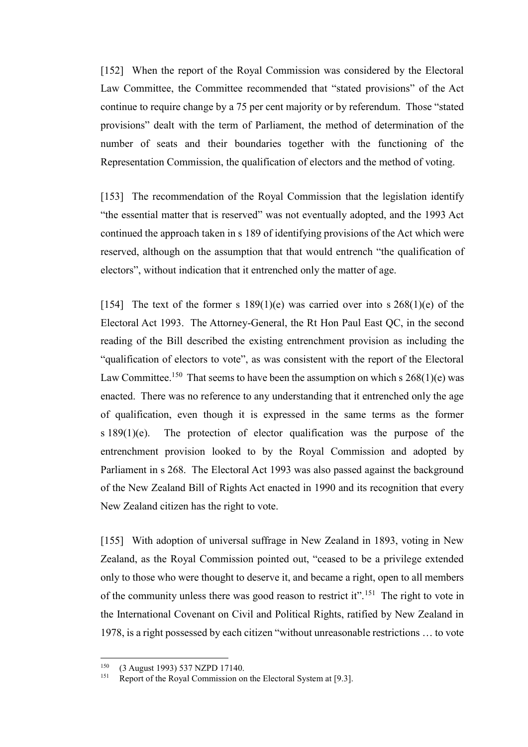[152] When the report of the Royal Commission was considered by the Electoral Law Committee, the Committee recommended that "stated provisions" of the Act continue to require change by a 75 per cent majority or by referendum. Those "stated provisions" dealt with the term of Parliament, the method of determination of the number of seats and their boundaries together with the functioning of the Representation Commission, the qualification of electors and the method of voting.

[153] The recommendation of the Royal Commission that the legislation identify "the essential matter that is reserved" was not eventually adopted, and the 1993 Act continued the approach taken in s 189 of identifying provisions of the Act which were reserved, although on the assumption that that would entrench "the qualification of electors", without indication that it entrenched only the matter of age.

[154] The text of the former s  $189(1)(e)$  was carried over into s  $268(1)(e)$  of the Electoral Act 1993. The Attorney-General, the Rt Hon Paul East QC, in the second reading of the Bill described the existing entrenchment provision as including the "qualification of electors to vote", as was consistent with the report of the Electoral Law Committee.<sup>150</sup> That seems to have been the assumption on which s  $268(1)(e)$  was enacted. There was no reference to any understanding that it entrenched only the age of qualification, even though it is expressed in the same terms as the former s 189(1)(e). The protection of elector qualification was the purpose of the entrenchment provision looked to by the Royal Commission and adopted by Parliament in s 268. The Electoral Act 1993 was also passed against the background of the New Zealand Bill of Rights Act enacted in 1990 and its recognition that every New Zealand citizen has the right to vote.

[155] With adoption of universal suffrage in New Zealand in 1893, voting in New Zealand, as the Royal Commission pointed out, "ceased to be a privilege extended only to those who were thought to deserve it, and became a right, open to all members of the community unless there was good reason to restrict it".<sup>151</sup> The right to vote in the International Covenant on Civil and Political Rights, ratified by New Zealand in 1978, is a right possessed by each citizen "without unreasonable restrictions … to vote

<sup>150</sup>  $^{150}$  (3 August 1993) 537 NZPD 17140.

Report of the Royal Commission on the Electoral System at [9.3].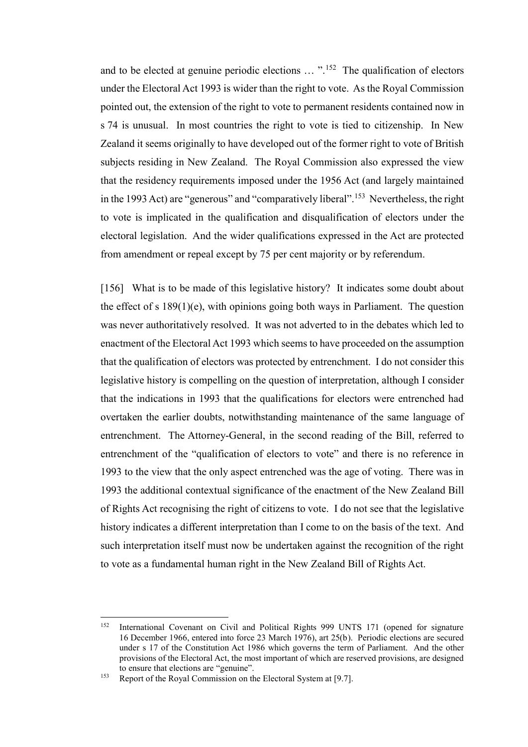and to be elected at genuine periodic elections ... "<sup>152</sup> The qualification of electors under the Electoral Act 1993 is wider than the right to vote. As the Royal Commission pointed out, the extension of the right to vote to permanent residents contained now in s 74 is unusual. In most countries the right to vote is tied to citizenship. In New Zealand it seems originally to have developed out of the former right to vote of British subjects residing in New Zealand. The Royal Commission also expressed the view that the residency requirements imposed under the 1956 Act (and largely maintained in the 1993 Act) are "generous" and "comparatively liberal".<sup>153</sup> Nevertheless, the right to vote is implicated in the qualification and disqualification of electors under the electoral legislation. And the wider qualifications expressed in the Act are protected from amendment or repeal except by 75 per cent majority or by referendum.

<span id="page-53-0"></span>[156] What is to be made of this legislative history? It indicates some doubt about the effect of s 189(1)(e), with opinions going both ways in Parliament. The question was never authoritatively resolved. It was not adverted to in the debates which led to enactment of the Electoral Act 1993 which seems to have proceeded on the assumption that the qualification of electors was protected by entrenchment. I do not consider this legislative history is compelling on the question of interpretation, although I consider that the indications in 1993 that the qualifications for electors were entrenched had overtaken the earlier doubts, notwithstanding maintenance of the same language of entrenchment. The Attorney-General, in the second reading of the Bill, referred to entrenchment of the "qualification of electors to vote" and there is no reference in 1993 to the view that the only aspect entrenched was the age of voting. There was in 1993 the additional contextual significance of the enactment of the New Zealand Bill of Rights Act recognising the right of citizens to vote. I do not see that the legislative history indicates a different interpretation than I come to on the basis of the text. And such interpretation itself must now be undertaken against the recognition of the right to vote as a fundamental human right in the New Zealand Bill of Rights Act.

<sup>152</sup> <sup>152</sup> International Covenant on Civil and Political Rights 999 UNTS 171 (opened for signature 16 December 1966, entered into force 23 March 1976), art 25(b). Periodic elections are secured under s 17 of the Constitution Act 1986 which governs the term of Parliament. And the other provisions of the Electoral Act, the most important of which are reserved provisions, are designed to ensure that elections are "genuine".

<sup>&</sup>lt;sup>153</sup> Report of the Royal Commission on the Electoral System at [9.7].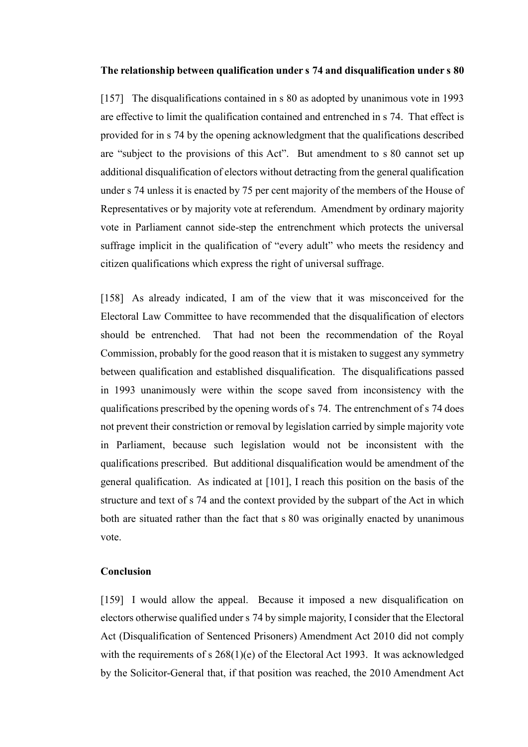#### **The relationship between qualification under s 74 and disqualification under s 80**

<span id="page-54-0"></span>[157] The disqualifications contained in s 80 as adopted by unanimous vote in 1993 are effective to limit the qualification contained and entrenched in s 74. That effect is provided for in s 74 by the opening acknowledgment that the qualifications described are "subject to the provisions of this Act". But amendment to s 80 cannot set up additional disqualification of electors without detracting from the general qualification under s 74 unless it is enacted by 75 per cent majority of the members of the House of Representatives or by majority vote at referendum. Amendment by ordinary majority vote in Parliament cannot side-step the entrenchment which protects the universal suffrage implicit in the qualification of "every adult" who meets the residency and citizen qualifications which express the right of universal suffrage.

<span id="page-54-1"></span>[158] As already indicated, I am of the view that it was misconceived for the Electoral Law Committee to have recommended that the disqualification of electors should be entrenched. That had not been the recommendation of the Royal Commission, probably for the good reason that it is mistaken to suggest any symmetry between qualification and established disqualification. The disqualifications passed in 1993 unanimously were within the scope saved from inconsistency with the qualifications prescribed by the opening words of s 74. The entrenchment of s 74 does not prevent their constriction or removal by legislation carried by simple majority vote in Parliament, because such legislation would not be inconsistent with the qualifications prescribed. But additional disqualification would be amendment of the general qualification. As indicated at [\[101\],](#page-35-0) I reach this position on the basis of the structure and text of s 74 and the context provided by the subpart of the Act in which both are situated rather than the fact that s 80 was originally enacted by unanimous vote.

#### **Conclusion**

[159] I would allow the appeal. Because it imposed a new disqualification on electors otherwise qualified under s 74 by simple majority, I consider that the Electoral Act (Disqualification of Sentenced Prisoners) Amendment Act 2010 did not comply with the requirements of s 268(1)(e) of the Electoral Act 1993. It was acknowledged by the Solicitor-General that, if that position was reached, the 2010 Amendment Act